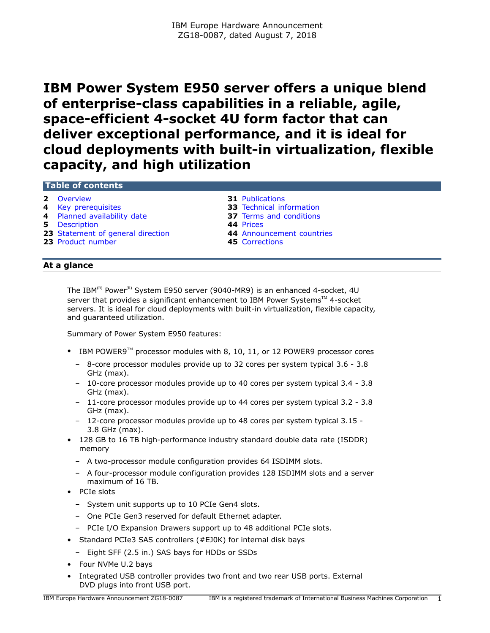# <span id="page-0-0"></span>**IBM Power System E950 server offers a unique blend of enterprise-class capabilities in a reliable, agile, space-efficient 4-socket 4U form factor that can deliver exceptional performance, and it is ideal for cloud deployments with built-in virtualization, flexible capacity, and high utilization**

# **Table of contents**

- 
- 
- 
- **5** [Description](#page-4-0) **44** [Prices](#page-43-0)
- **23** [Statement of general direction](#page-22-0) **44** [Announcement countries](#page-43-1)
- **23** [Product number](#page-22-1) **45** [Corrections](#page-44-0)
- **2** [Overview](#page-1-0) **31** [Publications](#page-30-0)
- **4** [Key prerequisites](#page-3-0) **33** [Technical information](#page-32-0)
- **4** [Planned availability date](#page-3-1) **37** [Terms and conditions](#page-36-0)
	-
	-
	-

# **At a glance**

The IBM<sup>(R)</sup> Power<sup>(R)</sup> System E950 server (9040-MR9) is an enhanced 4-socket, 4U server that provides a significant enhancement to IBM Power Systems™ 4-socket servers. It is ideal for cloud deployments with built-in virtualization, flexible capacity, and guaranteed utilization.

Summary of Power System E950 features:

- IBM POWER9<sup>™</sup> processor modules with 8, 10, 11, or 12 POWER9 processor cores
	- 8-core processor modules provide up to 32 cores per system typical 3.6 3.8 GHz (max).
	- 10-core processor modules provide up to 40 cores per system typical 3.4 3.8 GHz (max).
	- 11-core processor modules provide up to 44 cores per system typical 3.2 3.8 GHz (max).
	- 12-core processor modules provide up to 48 cores per system typical 3.15 3.8 GHz (max).
- 128 GB to 16 TB high-performance industry standard double data rate (ISDDR) memory
	- A two-processor module configuration provides 64 ISDIMM slots.
	- A four-processor module configuration provides 128 ISDIMM slots and a server maximum of 16 TB.
- PCIe slots
	- System unit supports up to 10 PCIe Gen4 slots.
	- One PCIe Gen3 reserved for default Ethernet adapter.
	- PCIe I/O Expansion Drawers support up to 48 additional PCIe slots.
- Standard PCIe3 SAS controllers (#EJ0K) for internal disk bays
- Eight SFF (2.5 in.) SAS bays for HDDs or SSDs
- Four NVMe U.2 bays
- Integrated USB controller provides two front and two rear USB ports. External DVD plugs into front USB port.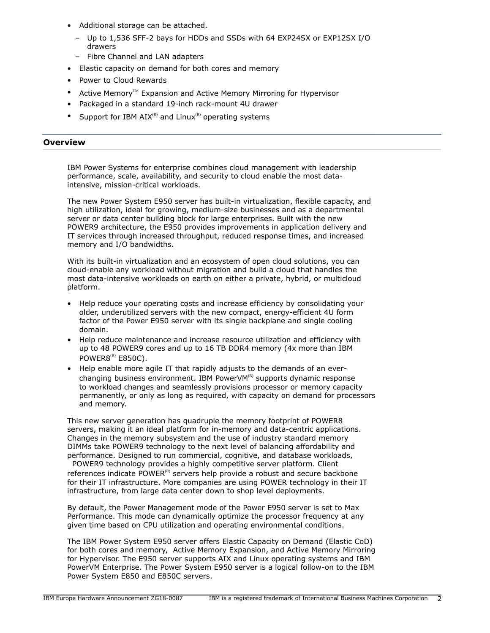- Additional storage can be attached.
	- Up to 1,536 SFF-2 bays for HDDs and SSDs with 64 EXP24SX or EXP12SX I/O drawers
	- Fibre Channel and LAN adapters
- Elastic capacity on demand for both cores and memory
- Power to Cloud Rewards
- Active Memory<sup>™</sup> Expansion and Active Memory Mirroring for Hypervisor
- Packaged in a standard 19-inch rack-mount 4U drawer
- Support for IBM  $AIX^{(R)}$  and Linux<sup>(R)</sup> operating systems

# <span id="page-1-0"></span>**Overview**

IBM Power Systems for enterprise combines cloud management with leadership performance, scale, availability, and security to cloud enable the most dataintensive, mission-critical workloads.

The new Power System E950 server has built-in virtualization, flexible capacity, and high utilization, ideal for growing, medium-size businesses and as a departmental server or data center building block for large enterprises. Built with the new POWER9 architecture, the E950 provides improvements in application delivery and IT services through increased throughput, reduced response times, and increased memory and I/O bandwidths.

With its built-in virtualization and an ecosystem of open cloud solutions, you can cloud-enable any workload without migration and build a cloud that handles the most data-intensive workloads on earth on either a private, hybrid, or multicloud platform.

- Help reduce your operating costs and increase efficiency by consolidating your older, underutilized servers with the new compact, energy-efficient 4U form factor of the Power E950 server with its single backplane and single cooling domain.
- Help reduce maintenance and increase resource utilization and efficiency with up to 48 POWER9 cores and up to 16 TB DDR4 memory (4x more than IBM POWER $8^{(R)}$  E850C).
- Help enable more agile IT that rapidly adjusts to the demands of an everchanging business environment. IBM PowerVM $<sup>(R)</sup>$  supports dynamic response</sup> to workload changes and seamlessly provisions processor or memory capacity permanently, or only as long as required, with capacity on demand for processors and memory.

This new server generation has quadruple the memory footprint of POWER8 servers, making it an ideal platform for in-memory and data-centric applications. Changes in the memory subsystem and the use of industry standard memory DIMMs take POWER9 technology to the next level of balancing affordability and performance. Designed to run commercial, cognitive, and database workloads, POWER9 technology provides a highly competitive server platform. Client

references indicate  $POWER<sup>(R)</sup>$  servers help provide a robust and secure backbone for their IT infrastructure. More companies are using POWER technology in their IT infrastructure, from large data center down to shop level deployments.

By default, the Power Management mode of the Power E950 server is set to Max Performance. This mode can dynamically optimize the processor frequency at any given time based on CPU utilization and operating environmental conditions.

The IBM Power System E950 server offers Elastic Capacity on Demand (Elastic CoD) for both cores and memory, Active Memory Expansion, and Active Memory Mirroring for Hypervisor. The E950 server supports AIX and Linux operating systems and IBM PowerVM Enterprise. The Power System E950 server is a logical follow-on to the IBM Power System E850 and E850C servers.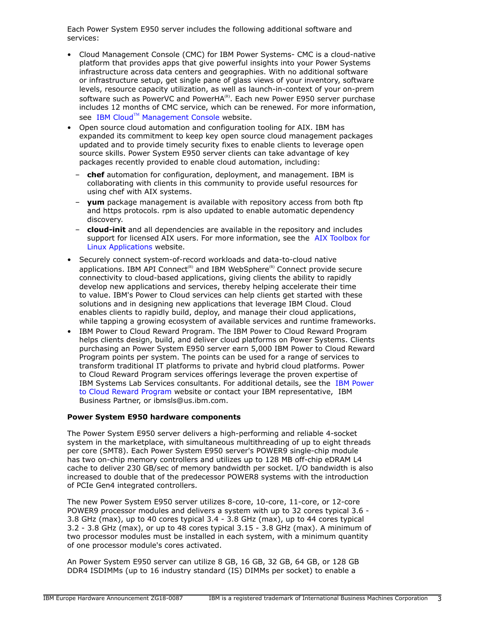Each Power System E950 server includes the following additional software and services:

- Cloud Management Console (CMC) for IBM Power Systems- CMC is a cloud-native platform that provides apps that give powerful insights into your Power Systems infrastructure across data centers and geographies. With no additional software or infrastructure setup, get single pane of glass views of your inventory, software levels, resource capacity utilization, as well as launch-in-context of your on-prem software such as PowerVC and PowerHA $<sup>(R)</sup>$ . Each new Power E950 server purchase</sup> includes 12 months of CMC service, which can be renewed. For more information, see IBM Cloud™ [Management Console](https://www.ibm.com/us-en/marketplace/cloud-management-console/resources#product-header-top) website.
- Open source cloud automation and configuration tooling for AIX. IBM has expanded its commitment to keep key open source cloud management packages updated and to provide timely security fixes to enable clients to leverage open source skills. Power System E950 server clients can take advantage of key packages recently provided to enable cloud automation, including:
	- **chef** automation for configuration, deployment, and management. IBM is collaborating with clients in this community to provide useful resources for using chef with AIX systems.
	- **yum** package management is available with repository access from both ftp and https protocols. rpm is also updated to enable automatic dependency discovery.
	- **cloud-init** and all dependencies are available in the repository and includes support for licensed AIX users. For more information, see the [AIX Toolbox for](http://www.ibm.com/systems/power/software/aix/linux/toolbox) [Linux Applications](http://www.ibm.com/systems/power/software/aix/linux/toolbox) website.
- Securely connect system-of-record workloads and data-to-cloud native applications. IBM API Connect<sup>(R)</sup> and IBM WebSphere<sup>(R)</sup> Connect provide secure connectivity to cloud-based applications, giving clients the ability to rapidly develop new applications and services, thereby helping accelerate their time to value. IBM's Power to Cloud services can help clients get started with these solutions and in designing new applications that leverage IBM Cloud. Cloud enables clients to rapidly build, deploy, and manage their cloud applications, while tapping a growing ecosystem of available services and runtime frameworks.
- IBM Power to Cloud Reward Program. The IBM Power to Cloud Reward Program helps clients design, build, and deliver cloud platforms on Power Systems. Clients purchasing an Power System E950 server earn 5,000 IBM Power to Cloud Reward Program points per system. The points can be used for a range of services to transform traditional IT platforms to private and hybrid cloud platforms. Power to Cloud Reward Program services offerings leverage the proven expertise of IBM Systems Lab Services consultants. For additional details, see the [IBM Power](https://www.ibm.com/it-infrastructure/power/resources/power-to-cloud) [to Cloud Reward Program](https://www.ibm.com/it-infrastructure/power/resources/power-to-cloud) website or contact your IBM representative, IBM Business Partner, or ibmsls@us.ibm.com.

# **Power System E950 hardware components**

The Power System E950 server delivers a high-performing and reliable 4-socket system in the marketplace, with simultaneous multithreading of up to eight threads per core (SMT8). Each Power System E950 server's POWER9 single-chip module has two on-chip memory controllers and utilizes up to 128 MB off-chip eDRAM L4 cache to deliver 230 GB/sec of memory bandwidth per socket. I/O bandwidth is also increased to double that of the predecessor POWER8 systems with the introduction of PCIe Gen4 integrated controllers.

The new Power System E950 server utilizes 8-core, 10-core, 11-core, or 12-core POWER9 processor modules and delivers a system with up to 32 cores typical 3.6 - 3.8 GHz (max), up to 40 cores typical 3.4 - 3.8 GHz (max), up to 44 cores typical 3.2 - 3.8 GHz (max), or up to 48 cores typical 3.15 - 3.8 GHz (max). A minimum of two processor modules must be installed in each system, with a minimum quantity of one processor module's cores activated.

An Power System E950 server can utilize 8 GB, 16 GB, 32 GB, 64 GB, or 128 GB DDR4 ISDIMMs (up to 16 industry standard (IS) DIMMs per socket) to enable a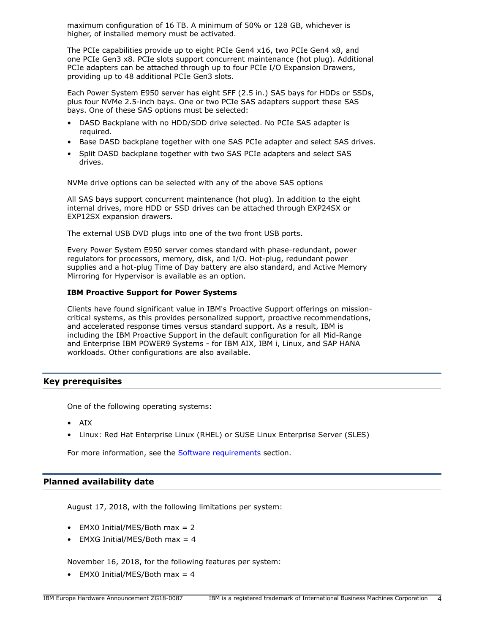maximum configuration of 16 TB. A minimum of 50% or 128 GB, whichever is higher, of installed memory must be activated.

The PCIe capabilities provide up to eight PCIe Gen4 x16, two PCIe Gen4 x8, and one PCIe Gen3 x8. PCIe slots support concurrent maintenance (hot plug). Additional PCIe adapters can be attached through up to four PCIe I/O Expansion Drawers, providing up to 48 additional PCIe Gen3 slots.

Each Power System E950 server has eight SFF (2.5 in.) SAS bays for HDDs or SSDs, plus four NVMe 2.5-inch bays. One or two PCIe SAS adapters support these SAS bays. One of these SAS options must be selected:

- DASD Backplane with no HDD/SDD drive selected. No PCIe SAS adapter is required.
- Base DASD backplane together with one SAS PCIe adapter and select SAS drives.
- Split DASD backplane together with two SAS PCIe adapters and select SAS drives.

NVMe drive options can be selected with any of the above SAS options

All SAS bays support concurrent maintenance (hot plug). In addition to the eight internal drives, more HDD or SSD drives can be attached through EXP24SX or EXP12SX expansion drawers.

The external USB DVD plugs into one of the two front USB ports.

Every Power System E950 server comes standard with phase-redundant, power regulators for processors, memory, disk, and I/O. Hot-plug, redundant power supplies and a hot-plug Time of Day battery are also standard, and Active Memory Mirroring for Hypervisor is available as an option.

# **IBM Proactive Support for Power Systems**

Clients have found significant value in IBM's Proactive Support offerings on missioncritical systems, as this provides personalized support, proactive recommendations, and accelerated response times versus standard support. As a result, IBM is including the IBM Proactive Support in the default configuration for all Mid-Range and Enterprise IBM POWER9 Systems - for IBM AIX, IBM i, Linux, and SAP HANA workloads. Other configurations are also available.

# <span id="page-3-0"></span>**Key prerequisites**

One of the following operating systems:

- AIX
- Linux: Red Hat Enterprise Linux (RHEL) or SUSE Linux Enterprise Server (SLES)

For more information, see the [Software requirements](#page-34-0) section.

# <span id="page-3-1"></span>**Planned availability date**

August 17, 2018, with the following limitations per system:

- EMX0 Initial/MES/Both max = 2
- EMXG Initial/MES/Both max = 4

November 16, 2018, for the following features per system:

• EMX0 Initial/MES/Both max =  $4$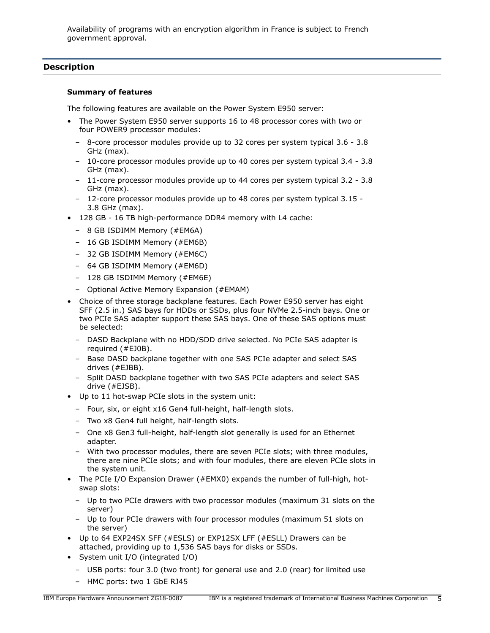Availability of programs with an encryption algorithm in France is subject to French government approval.

# <span id="page-4-0"></span>**Description**

#### **Summary of features**

The following features are available on the Power System E950 server:

- The Power System E950 server supports 16 to 48 processor cores with two or four POWER9 processor modules:
	- 8-core processor modules provide up to 32 cores per system typical 3.6 3.8 GHz (max).
	- 10-core processor modules provide up to 40 cores per system typical 3.4 3.8 GHz (max).
	- 11-core processor modules provide up to 44 cores per system typical 3.2 3.8 GHz (max).
	- 12-core processor modules provide up to 48 cores per system typical 3.15 3.8 GHz (max).
- 128 GB 16 TB high-performance DDR4 memory with L4 cache:
	- 8 GB ISDIMM Memory (#EM6A)
	- 16 GB ISDIMM Memory (#EM6B)
	- 32 GB ISDIMM Memory (#EM6C)
	- 64 GB ISDIMM Memory (#EM6D)
	- 128 GB ISDIMM Memory (#EM6E)
	- Optional Active Memory Expansion (#EMAM)
- Choice of three storage backplane features. Each Power E950 server has eight SFF (2.5 in.) SAS bays for HDDs or SSDs, plus four NVMe 2.5-inch bays. One or two PCIe SAS adapter support these SAS bays. One of these SAS options must be selected:
	- DASD Backplane with no HDD/SDD drive selected. No PCIe SAS adapter is required (#EJ0B).
	- Base DASD backplane together with one SAS PCIe adapter and select SAS drives (#EJBB).
	- Split DASD backplane together with two SAS PCIe adapters and select SAS drive (#EJSB).
- Up to 11 hot-swap PCIe slots in the system unit:
	- Four, six, or eight x16 Gen4 full-height, half-length slots.
	- Two x8 Gen4 full height, half-length slots.
	- One x8 Gen3 full-height, half-length slot generally is used for an Ethernet adapter.
	- With two processor modules, there are seven PCIe slots; with three modules, there are nine PCIe slots; and with four modules, there are eleven PCIe slots in the system unit.
- The PCIe I/O Expansion Drawer (#EMX0) expands the number of full-high, hotswap slots:
	- Up to two PCIe drawers with two processor modules (maximum 31 slots on the server)
	- Up to four PCIe drawers with four processor modules (maximum 51 slots on the server)
- Up to 64 EXP24SX SFF (#ESLS) or EXP12SX LFF (#ESLL) Drawers can be attached, providing up to 1,536 SAS bays for disks or SSDs.
- System unit I/O (integrated I/O)
	- USB ports: four 3.0 (two front) for general use and 2.0 (rear) for limited use
	- HMC ports: two 1 GbE RJ45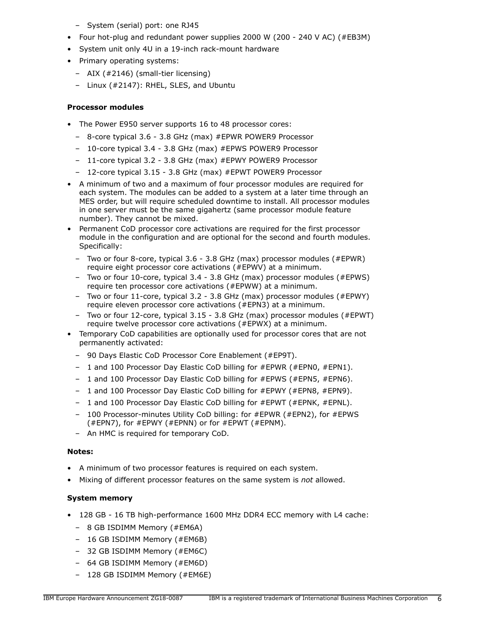- System (serial) port: one RJ45
- Four hot-plug and redundant power supplies 2000 W (200 240 V AC) (#EB3M)
- System unit only 4U in a 19-inch rack-mount hardware
- Primary operating systems:
	- AIX (#2146) (small-tier licensing)
	- Linux (#2147): RHEL, SLES, and Ubuntu

# **Processor modules**

- The Power E950 server supports 16 to 48 processor cores:
	- 8-core typical 3.6 3.8 GHz (max) #EPWR POWER9 Processor
	- 10-core typical 3.4 3.8 GHz (max) #EPWS POWER9 Processor
	- 11-core typical 3.2 3.8 GHz (max) #EPWY POWER9 Processor
	- 12-core typical 3.15 3.8 GHz (max) #EPWT POWER9 Processor
- A minimum of two and a maximum of four processor modules are required for each system. The modules can be added to a system at a later time through an MES order, but will require scheduled downtime to install. All processor modules in one server must be the same gigahertz (same processor module feature number). They cannot be mixed.
- Permanent CoD processor core activations are required for the first processor module in the configuration and are optional for the second and fourth modules. Specifically:
	- Two or four 8-core, typical 3.6 3.8 GHz (max) processor modules (#EPWR) require eight processor core activations (#EPWV) at a minimum.
	- Two or four 10-core, typical 3.4 3.8 GHz (max) processor modules (#EPWS) require ten processor core activations (#EPWW) at a minimum.
	- Two or four 11-core, typical 3.2 3.8 GHz (max) processor modules (#EPWY) require eleven processor core activations (#EPN3) at a minimum.
	- Two or four 12-core, typical 3.15 3.8 GHz (max) processor modules (#EPWT) require twelve processor core activations (#EPWX) at a minimum.
- Temporary CoD capabilities are optionally used for processor cores that are not permanently activated:
	- 90 Days Elastic CoD Processor Core Enablement (#EP9T).
	- 1 and 100 Processor Day Elastic CoD billing for #EPWR (#EPN0, #EPN1).
	- 1 and 100 Processor Day Elastic CoD billing for #EPWS (#EPN5, #EPN6).
	- 1 and 100 Processor Day Elastic CoD billing for #EPWY (#EPN8, #EPN9).
	- 1 and 100 Processor Day Elastic CoD billing for #EPWT (#EPNK, #EPNL).
	- 100 Processor-minutes Utility CoD billing: for #EPWR (#EPN2), for #EPWS (#EPN7), for #EPWY (#EPNN) or for #EPWT (#EPNM).
	- An HMC is required for temporary CoD.

# **Notes:**

- A minimum of two processor features is required on each system.
- Mixing of different processor features on the same system is *not* allowed.

# **System memory**

- 128 GB 16 TB high-performance 1600 MHz DDR4 ECC memory with L4 cache:
	- 8 GB ISDIMM Memory (#EM6A)
	- 16 GB ISDIMM Memory (#EM6B)
	- 32 GB ISDIMM Memory (#EM6C)
	- 64 GB ISDIMM Memory (#EM6D)
	- 128 GB ISDIMM Memory (#EM6E)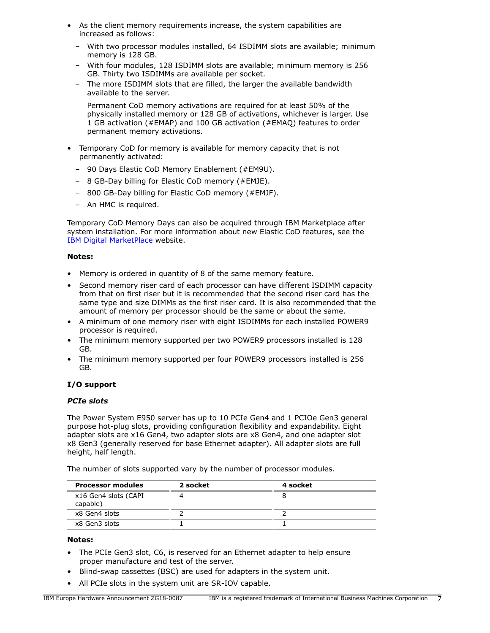- As the client memory requirements increase, the system capabilities are increased as follows:
	- With two processor modules installed, 64 ISDIMM slots are available; minimum memory is 128 GB.
	- With four modules, 128 ISDIMM slots are available; minimum memory is 256 GB. Thirty two ISDIMMs are available per socket.
	- The more ISDIMM slots that are filled, the larger the available bandwidth available to the server.

Permanent CoD memory activations are required for at least 50% of the physically installed memory or 128 GB of activations, whichever is larger. Use 1 GB activation (#EMAP) and 100 GB activation (#EMAQ) features to order permanent memory activations.

- Temporary CoD for memory is available for memory capacity that is not permanently activated:
	- 90 Days Elastic CoD Memory Enablement (#EM9U).
	- 8 GB-Day billing for Elastic CoD memory (#EMJE).
	- 800 GB-Day billing for Elastic CoD memory (#EMJF).
	- An HMC is required.

Temporary CoD Memory Days can also be acquired through IBM Marketplace after system installation. For more information about new Elastic CoD features, see the [IBM Digital MarketPlace](https://www.ibm.com/us-en/marketplace/elastic-capacity-on-demand) website.

# **Notes:**

- Memory is ordered in quantity of 8 of the same memory feature.
- Second memory riser card of each processor can have different ISDIMM capacity from that on first riser but it is recommended that the second riser card has the same type and size DIMMs as the first riser card. It is also recommended that the amount of memory per processor should be the same or about the same.
- A minimum of one memory riser with eight ISDIMMs for each installed POWER9 processor is required.
- The minimum memory supported per two POWER9 processors installed is 128 GB.
- The minimum memory supported per four POWER9 processors installed is 256 GB.

# **I/O support**

# *PCIe slots*

The Power System E950 server has up to 10 PCIe Gen4 and 1 PCIOe Gen3 general purpose hot-plug slots, providing configuration flexibility and expandability. Eight adapter slots are x16 Gen4, two adapter slots are x8 Gen4, and one adapter slot x8 Gen3 (generally reserved for base Ethernet adapter). All adapter slots are full height, half length.

The number of slots supported vary by the number of processor modules.

| <b>Processor modules</b>         | 2 socket | 4 socket |  |
|----------------------------------|----------|----------|--|
| x16 Gen4 slots (CAPI<br>capable) |          |          |  |
| x8 Gen4 slots                    |          |          |  |
| x8 Gen3 slots                    |          |          |  |

#### **Notes:**

- The PCIe Gen3 slot, C6, is reserved for an Ethernet adapter to help ensure proper manufacture and test of the server.
- Blind-swap cassettes (BSC) are used for adapters in the system unit.
- All PCIe slots in the system unit are SR-IOV capable.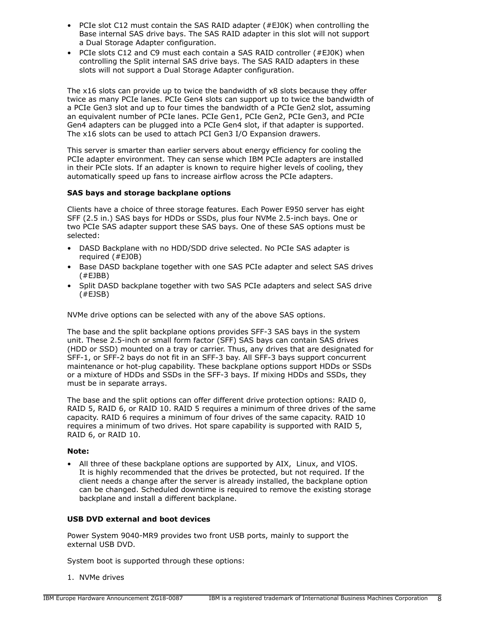- PCIe slot C12 must contain the SAS RAID adapter (#EJ0K) when controlling the Base internal SAS drive bays. The SAS RAID adapter in this slot will not support a Dual Storage Adapter configuration.
- PCIe slots C12 and C9 must each contain a SAS RAID controller (#EJ0K) when controlling the Split internal SAS drive bays. The SAS RAID adapters in these slots will not support a Dual Storage Adapter configuration.

The x16 slots can provide up to twice the bandwidth of x8 slots because they offer twice as many PCIe lanes. PCIe Gen4 slots can support up to twice the bandwidth of a PCIe Gen3 slot and up to four times the bandwidth of a PCIe Gen2 slot, assuming an equivalent number of PCIe lanes. PCIe Gen1, PCIe Gen2, PCIe Gen3, and PCIe Gen4 adapters can be plugged into a PCIe Gen4 slot, if that adapter is supported. The x16 slots can be used to attach PCI Gen3 I/O Expansion drawers.

This server is smarter than earlier servers about energy efficiency for cooling the PCIe adapter environment. They can sense which IBM PCIe adapters are installed in their PCIe slots. If an adapter is known to require higher levels of cooling, they automatically speed up fans to increase airflow across the PCIe adapters.

# **SAS bays and storage backplane options**

Clients have a choice of three storage features. Each Power E950 server has eight SFF (2.5 in.) SAS bays for HDDs or SSDs, plus four NVMe 2.5-inch bays. One or two PCIe SAS adapter support these SAS bays. One of these SAS options must be selected:

- DASD Backplane with no HDD/SDD drive selected. No PCIe SAS adapter is required (#EJ0B)
- Base DASD backplane together with one SAS PCIe adapter and select SAS drives (#EJBB)
- Split DASD backplane together with two SAS PCIe adapters and select SAS drive (#EJSB)

NVMe drive options can be selected with any of the above SAS options.

The base and the split backplane options provides SFF-3 SAS bays in the system unit. These 2.5-inch or small form factor (SFF) SAS bays can contain SAS drives (HDD or SSD) mounted on a tray or carrier. Thus, any drives that are designated for SFF-1, or SFF-2 bays do not fit in an SFF-3 bay. All SFF-3 bays support concurrent maintenance or hot-plug capability. These backplane options support HDDs or SSDs or a mixture of HDDs and SSDs in the SFF-3 bays. If mixing HDDs and SSDs, they must be in separate arrays.

The base and the split options can offer different drive protection options: RAID 0, RAID 5, RAID 6, or RAID 10. RAID 5 requires a minimum of three drives of the same capacity. RAID 6 requires a minimum of four drives of the same capacity. RAID 10 requires a minimum of two drives. Hot spare capability is supported with RAID 5, RAID 6, or RAID 10.

# **Note:**

• All three of these backplane options are supported by AIX, Linux, and VIOS. It is highly recommended that the drives be protected, but not required. If the client needs a change after the server is already installed, the backplane option can be changed. Scheduled downtime is required to remove the existing storage backplane and install a different backplane.

# **USB DVD external and boot devices**

Power System 9040-MR9 provides two front USB ports, mainly to support the external USB DVD.

System boot is supported through these options:

1. NVMe drives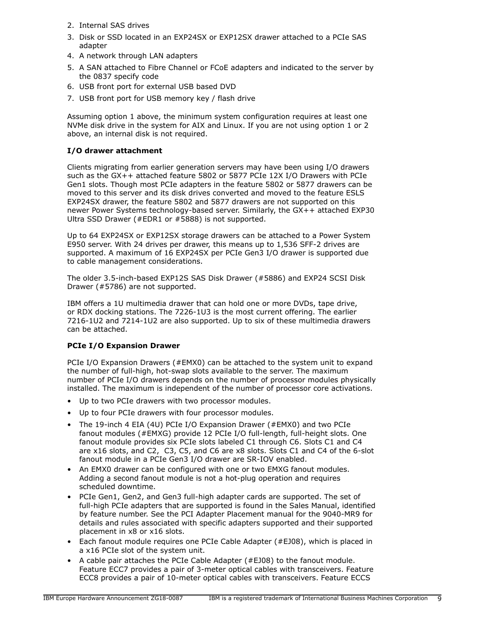- 2. Internal SAS drives
- 3. Disk or SSD located in an EXP24SX or EXP12SX drawer attached to a PCIe SAS adapter
- 4. A network through LAN adapters
- 5. A SAN attached to Fibre Channel or FCoE adapters and indicated to the server by the 0837 specify code
- 6. USB front port for external USB based DVD
- 7. USB front port for USB memory key / flash drive

Assuming option 1 above, the minimum system configuration requires at least one NVMe disk drive in the system for AIX and Linux. If you are not using option 1 or 2 above, an internal disk is not required.

# **I/O drawer attachment**

Clients migrating from earlier generation servers may have been using I/O drawers such as the GX++ attached feature 5802 or 5877 PCIe 12X I/O Drawers with PCIe Gen1 slots. Though most PCIe adapters in the feature 5802 or 5877 drawers can be moved to this server and its disk drives converted and moved to the feature ESLS EXP24SX drawer, the feature 5802 and 5877 drawers are not supported on this newer Power Systems technology-based server. Similarly, the GX++ attached EXP30 Ultra SSD Drawer (#EDR1 or #5888) is not supported.

Up to 64 EXP24SX or EXP12SX storage drawers can be attached to a Power System E950 server. With 24 drives per drawer, this means up to 1,536 SFF-2 drives are supported. A maximum of 16 EXP24SX per PCIe Gen3 I/O drawer is supported due to cable management considerations.

The older 3.5-inch-based EXP12S SAS Disk Drawer (#5886) and EXP24 SCSI Disk Drawer (#5786) are not supported.

IBM offers a 1U multimedia drawer that can hold one or more DVDs, tape drive, or RDX docking stations. The 7226-1U3 is the most current offering. The earlier 7216-1U2 and 7214-1U2 are also supported. Up to six of these multimedia drawers can be attached.

# **PCIe I/O Expansion Drawer**

PCIe I/O Expansion Drawers (#EMX0) can be attached to the system unit to expand the number of full-high, hot-swap slots available to the server. The maximum number of PCIe I/O drawers depends on the number of processor modules physically installed. The maximum is independent of the number of processor core activations.

- Up to two PCIe drawers with two processor modules.
- Up to four PCIe drawers with four processor modules.
- The 19-inch 4 EIA (4U) PCIe I/O Expansion Drawer (#EMX0) and two PCIe fanout modules (#EMXG) provide 12 PCIe I/O full-length, full-height slots. One fanout module provides six PCIe slots labeled C1 through C6. Slots C1 and C4 are x16 slots, and C2, C3, C5, and C6 are x8 slots. Slots C1 and C4 of the 6-slot fanout module in a PCIe Gen3 I/O drawer are SR-IOV enabled.
- An EMX0 drawer can be configured with one or two EMXG fanout modules. Adding a second fanout module is not a hot-plug operation and requires scheduled downtime.
- PCIe Gen1, Gen2, and Gen3 full-high adapter cards are supported. The set of full-high PCIe adapters that are supported is found in the Sales Manual, identified by feature number. See the PCI Adapter Placement manual for the 9040-MR9 for details and rules associated with specific adapters supported and their supported placement in x8 or x16 slots.
- Each fanout module requires one PCIe Cable Adapter (#EJ08), which is placed in a x16 PCIe slot of the system unit.
- A cable pair attaches the PCIe Cable Adapter (#EJ08) to the fanout module. Feature ECC7 provides a pair of 3-meter optical cables with transceivers. Feature ECC8 provides a pair of 10-meter optical cables with transceivers. Feature ECCS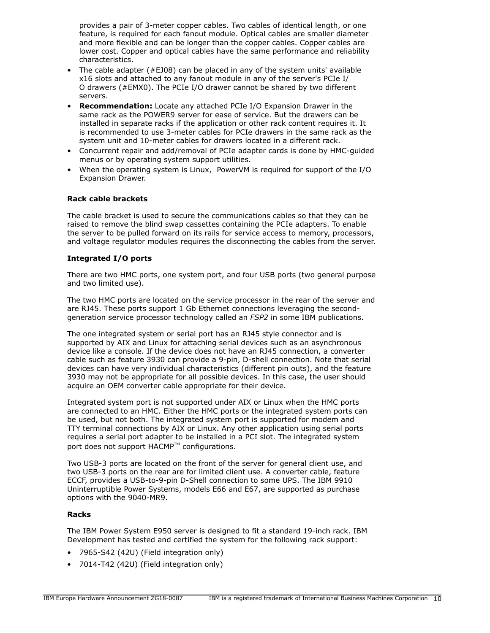provides a pair of 3-meter copper cables. Two cables of identical length, or one feature, is required for each fanout module. Optical cables are smaller diameter and more flexible and can be longer than the copper cables. Copper cables are lower cost. Copper and optical cables have the same performance and reliability characteristics.

- The cable adapter (#EJ08) can be placed in any of the system units' available x16 slots and attached to any fanout module in any of the server's PCIe I/ O drawers (#EMX0). The PCIe I/O drawer cannot be shared by two different servers.
- **Recommendation:** Locate any attached PCIe I/O Expansion Drawer in the same rack as the POWER9 server for ease of service. But the drawers can be installed in separate racks if the application or other rack content requires it. It is recommended to use 3-meter cables for PCIe drawers in the same rack as the system unit and 10-meter cables for drawers located in a different rack.
- Concurrent repair and add/removal of PCIe adapter cards is done by HMC-guided menus or by operating system support utilities.
- When the operating system is Linux, PowerVM is required for support of the I/O Expansion Drawer.

#### **Rack cable brackets**

The cable bracket is used to secure the communications cables so that they can be raised to remove the blind swap cassettes containing the PCIe adapters. To enable the server to be pulled forward on its rails for service access to memory, processors, and voltage regulator modules requires the disconnecting the cables from the server.

#### **Integrated I/O ports**

There are two HMC ports, one system port, and four USB ports (two general purpose and two limited use).

The two HMC ports are located on the service processor in the rear of the server and are RJ45. These ports support 1 Gb Ethernet connections leveraging the secondgeneration service processor technology called an *FSP2* in some IBM publications.

The one integrated system or serial port has an RJ45 style connector and is supported by AIX and Linux for attaching serial devices such as an asynchronous device like a console. If the device does not have an RJ45 connection, a converter cable such as feature 3930 can provide a 9-pin, D-shell connection. Note that serial devices can have very individual characteristics (different pin outs), and the feature 3930 may not be appropriate for all possible devices. In this case, the user should acquire an OEM converter cable appropriate for their device.

Integrated system port is not supported under AIX or Linux when the HMC ports are connected to an HMC. Either the HMC ports or the integrated system ports can be used, but not both. The integrated system port is supported for modem and TTY terminal connections by AIX or Linux. Any other application using serial ports requires a serial port adapter to be installed in a PCI slot. The integrated system port does not support HACMP™ configurations.

Two USB-3 ports are located on the front of the server for general client use, and two USB-3 ports on the rear are for limited client use. A converter cable, feature ECCF, provides a USB-to-9-pin D-Shell connection to some UPS. The IBM 9910 Uninterruptible Power Systems, models E66 and E67, are supported as purchase options with the 9040-MR9.

#### **Racks**

The IBM Power System E950 server is designed to fit a standard 19-inch rack. IBM Development has tested and certified the system for the following rack support:

- 7965-S42 (42U) (Field integration only)
- 7014-T42 (42U) (Field integration only)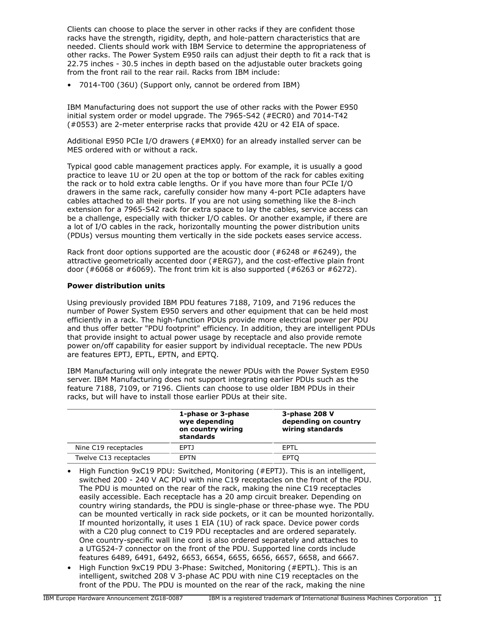Clients can choose to place the server in other racks if they are confident those racks have the strength, rigidity, depth, and hole-pattern characteristics that are needed. Clients should work with IBM Service to determine the appropriateness of other racks. The Power System E950 rails can adjust their depth to fit a rack that is 22.75 inches - 30.5 inches in depth based on the adjustable outer brackets going from the front rail to the rear rail. Racks from IBM include:

• 7014-T00 (36U) (Support only, cannot be ordered from IBM)

IBM Manufacturing does not support the use of other racks with the Power E950 initial system order or model upgrade. The 7965-S42 (#ECR0) and 7014-T42 (#0553) are 2-meter enterprise racks that provide 42U or 42 EIA of space.

Additional E950 PCIe I/O drawers (#EMX0) for an already installed server can be MES ordered with or without a rack.

Typical good cable management practices apply. For example, it is usually a good practice to leave 1U or 2U open at the top or bottom of the rack for cables exiting the rack or to hold extra cable lengths. Or if you have more than four PCIe I/O drawers in the same rack, carefully consider how many 4-port PCIe adapters have cables attached to all their ports. If you are not using something like the 8-inch extension for a 7965-S42 rack for extra space to lay the cables, service access can be a challenge, especially with thicker I/O cables. Or another example, if there are a lot of I/O cables in the rack, horizontally mounting the power distribution units (PDUs) versus mounting them vertically in the side pockets eases service access.

Rack front door options supported are the acoustic door (#6248 or #6249), the attractive geometrically accented door (#ERG7), and the cost-effective plain front door (#6068 or #6069). The front trim kit is also supported (#6263 or #6272).

# **Power distribution units**

Using previously provided IBM PDU features 7188, 7109, and 7196 reduces the number of Power System E950 servers and other equipment that can be held most efficiently in a rack. The high-function PDUs provide more electrical power per PDU and thus offer better "PDU footprint" efficiency. In addition, they are intelligent PDUs that provide insight to actual power usage by receptacle and also provide remote power on/off capability for easier support by individual receptacle. The new PDUs are features EPTJ, EPTL, EPTN, and EPTQ.

IBM Manufacturing will only integrate the newer PDUs with the Power System E950 server. IBM Manufacturing does not support integrating earlier PDUs such as the feature 7188, 7109, or 7196. Clients can choose to use older IBM PDUs in their racks, but will have to install those earlier PDUs at their site.

|                        | 1-phase or 3-phase<br>wye depending<br>on country wiring<br>standards | 3-phase 208 V<br>depending on country<br>wiring standards |
|------------------------|-----------------------------------------------------------------------|-----------------------------------------------------------|
| Nine C19 receptacles   | FPT <sub>1</sub>                                                      | <b>FPTI</b>                                               |
| Twelve C13 receptacles | <b>FPTN</b>                                                           | <b>EPTO</b>                                               |

- High Function 9xC19 PDU: Switched, Monitoring (#EPTJ). This is an intelligent, switched 200 - 240 V AC PDU with nine C19 receptacles on the front of the PDU. The PDU is mounted on the rear of the rack, making the nine C19 receptacles easily accessible. Each receptacle has a 20 amp circuit breaker. Depending on country wiring standards, the PDU is single-phase or three-phase wye. The PDU can be mounted vertically in rack side pockets, or it can be mounted horizontally. If mounted horizontally, it uses 1 EIA (1U) of rack space. Device power cords with a C20 plug connect to C19 PDU receptacles and are ordered separately. One country-specific wall line cord is also ordered separately and attaches to a UTG524-7 connector on the front of the PDU. Supported line cords include features 6489, 6491, 6492, 6653, 6654, 6655, 6656, 6657, 6658, and 6667.
- High Function 9xC19 PDU 3-Phase: Switched, Monitoring (#EPTL). This is an intelligent, switched 208 V 3-phase AC PDU with nine C19 receptacles on the front of the PDU. The PDU is mounted on the rear of the rack, making the nine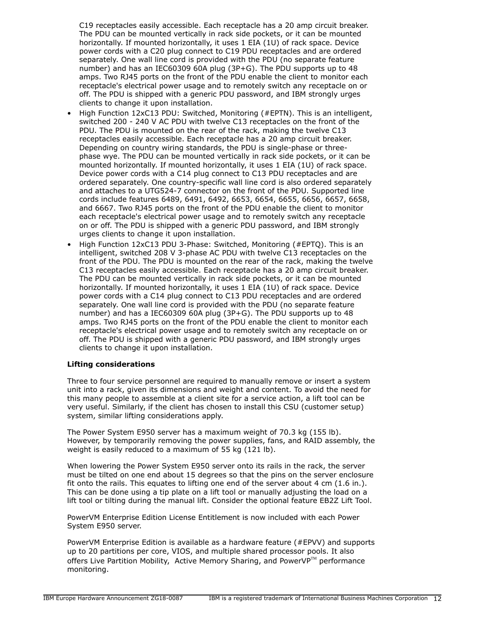C19 receptacles easily accessible. Each receptacle has a 20 amp circuit breaker. The PDU can be mounted vertically in rack side pockets, or it can be mounted horizontally. If mounted horizontally, it uses 1 EIA (1U) of rack space. Device power cords with a C20 plug connect to C19 PDU receptacles and are ordered separately. One wall line cord is provided with the PDU (no separate feature number) and has an IEC60309 60A plug (3P+G). The PDU supports up to 48 amps. Two RJ45 ports on the front of the PDU enable the client to monitor each receptacle's electrical power usage and to remotely switch any receptacle on or off. The PDU is shipped with a generic PDU password, and IBM strongly urges clients to change it upon installation.

- High Function 12xC13 PDU: Switched, Monitoring (#EPTN). This is an intelligent, switched 200 - 240 V AC PDU with twelve C13 receptacles on the front of the PDU. The PDU is mounted on the rear of the rack, making the twelve C13 receptacles easily accessible. Each receptacle has a 20 amp circuit breaker. Depending on country wiring standards, the PDU is single-phase or threephase wye. The PDU can be mounted vertically in rack side pockets, or it can be mounted horizontally. If mounted horizontally, it uses 1 EIA (1U) of rack space. Device power cords with a C14 plug connect to C13 PDU receptacles and are ordered separately. One country-specific wall line cord is also ordered separately and attaches to a UTG524-7 connector on the front of the PDU. Supported line cords include features 6489, 6491, 6492, 6653, 6654, 6655, 6656, 6657, 6658, and 6667. Two RJ45 ports on the front of the PDU enable the client to monitor each receptacle's electrical power usage and to remotely switch any receptacle on or off. The PDU is shipped with a generic PDU password, and IBM strongly urges clients to change it upon installation.
- High Function 12xC13 PDU 3-Phase: Switched, Monitoring (#EPTQ). This is an intelligent, switched 208 V 3-phase AC PDU with twelve C13 receptacles on the front of the PDU. The PDU is mounted on the rear of the rack, making the twelve C13 receptacles easily accessible. Each receptacle has a 20 amp circuit breaker. The PDU can be mounted vertically in rack side pockets, or it can be mounted horizontally. If mounted horizontally, it uses 1 EIA (1U) of rack space. Device power cords with a C14 plug connect to C13 PDU receptacles and are ordered separately. One wall line cord is provided with the PDU (no separate feature number) and has a IEC60309 60A plug (3P+G). The PDU supports up to 48 amps. Two RJ45 ports on the front of the PDU enable the client to monitor each receptacle's electrical power usage and to remotely switch any receptacle on or off. The PDU is shipped with a generic PDU password, and IBM strongly urges clients to change it upon installation.

#### **Lifting considerations**

Three to four service personnel are required to manually remove or insert a system unit into a rack, given its dimensions and weight and content. To avoid the need for this many people to assemble at a client site for a service action, a lift tool can be very useful. Similarly, if the client has chosen to install this CSU (customer setup) system, similar lifting considerations apply.

The Power System E950 server has a maximum weight of 70.3 kg (155 lb). However, by temporarily removing the power supplies, fans, and RAID assembly, the weight is easily reduced to a maximum of 55 kg (121 lb).

When lowering the Power System E950 server onto its rails in the rack, the server must be tilted on one end about 15 degrees so that the pins on the server enclosure fit onto the rails. This equates to lifting one end of the server about 4 cm (1.6 in.). This can be done using a tip plate on a lift tool or manually adjusting the load on a lift tool or tilting during the manual lift. Consider the optional feature EB2Z Lift Tool.

PowerVM Enterprise Edition License Entitlement is now included with each Power System E950 server.

PowerVM Enterprise Edition is available as a hardware feature (#EPVV) and supports up to 20 partitions per core, VIOS, and multiple shared processor pools. It also offers Live Partition Mobility, Active Memory Sharing, and PowerVP $^{TM}$  performance monitoring.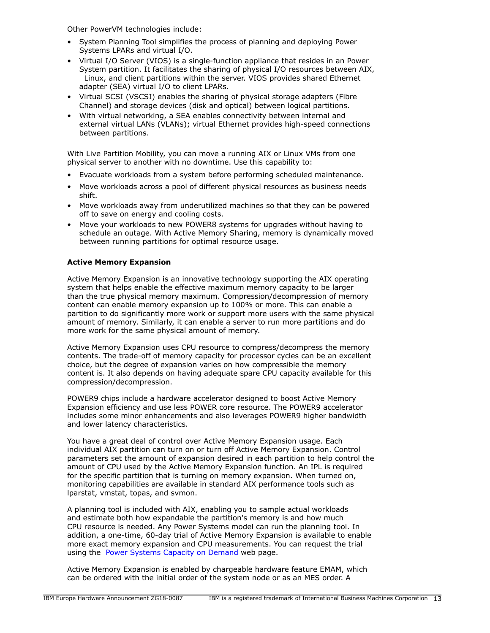Other PowerVM technologies include:

- System Planning Tool simplifies the process of planning and deploying Power Systems LPARs and virtual I/O.
- Virtual I/O Server (VIOS) is a single-function appliance that resides in an Power System partition. It facilitates the sharing of physical I/O resources between AIX, Linux, and client partitions within the server. VIOS provides shared Ethernet adapter (SEA) virtual I/O to client LPARs.
- Virtual SCSI (VSCSI) enables the sharing of physical storage adapters (Fibre Channel) and storage devices (disk and optical) between logical partitions.
- With virtual networking, a SEA enables connectivity between internal and external virtual LANs (VLANs); virtual Ethernet provides high-speed connections between partitions.

With Live Partition Mobility, you can move a running AIX or Linux VMs from one physical server to another with no downtime. Use this capability to:

- Evacuate workloads from a system before performing scheduled maintenance.
- Move workloads across a pool of different physical resources as business needs shift.
- Move workloads away from underutilized machines so that they can be powered off to save on energy and cooling costs.
- Move your workloads to new POWER8 systems for upgrades without having to schedule an outage. With Active Memory Sharing, memory is dynamically moved between running partitions for optimal resource usage.

# **Active Memory Expansion**

Active Memory Expansion is an innovative technology supporting the AIX operating system that helps enable the effective maximum memory capacity to be larger than the true physical memory maximum. Compression/decompression of memory content can enable memory expansion up to 100% or more. This can enable a partition to do significantly more work or support more users with the same physical amount of memory. Similarly, it can enable a server to run more partitions and do more work for the same physical amount of memory.

Active Memory Expansion uses CPU resource to compress/decompress the memory contents. The trade-off of memory capacity for processor cycles can be an excellent choice, but the degree of expansion varies on how compressible the memory content is. It also depends on having adequate spare CPU capacity available for this compression/decompression.

POWER9 chips include a hardware accelerator designed to boost Active Memory Expansion efficiency and use less POWER core resource. The POWER9 accelerator includes some minor enhancements and also leverages POWER9 higher bandwidth and lower latency characteristics.

You have a great deal of control over Active Memory Expansion usage. Each individual AIX partition can turn on or turn off Active Memory Expansion. Control parameters set the amount of expansion desired in each partition to help control the amount of CPU used by the Active Memory Expansion function. An IPL is required for the specific partition that is turning on memory expansion. When turned on, monitoring capabilities are available in standard AIX performance tools such as lparstat, vmstat, topas, and svmon.

A planning tool is included with AIX, enabling you to sample actual workloads and estimate both how expandable the partition's memory is and how much CPU resource is needed. Any Power Systems model can run the planning tool. In addition, a one-time, 60-day trial of Active Memory Expansion is available to enable more exact memory expansion and CPU measurements. You can request the trial using the [Power Systems Capacity on Demand](http://www.ibm.com/systems/power/hardware/cod/) web page.

Active Memory Expansion is enabled by chargeable hardware feature EMAM, which can be ordered with the initial order of the system node or as an MES order. A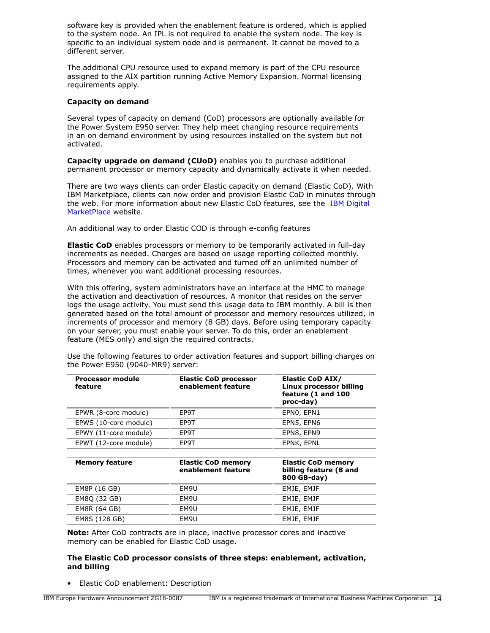software key is provided when the enablement feature is ordered, which is applied to the system node. An IPL is not required to enable the system node. The key is specific to an individual system node and is permanent. It cannot be moved to a different server.

The additional CPU resource used to expand memory is part of the CPU resource assigned to the AIX partition running Active Memory Expansion. Normal licensing requirements apply.

#### **Capacity on demand**

Several types of capacity on demand (CoD) processors are optionally available for the Power System E950 server. They help meet changing resource requirements in an on demand environment by using resources installed on the system but not activated.

**Capacity upgrade on demand (CUoD)** enables you to purchase additional permanent processor or memory capacity and dynamically activate it when needed.

There are two ways clients can order Elastic capacity on demand (Elastic CoD). With IBM Marketplace, clients can now order and provision Elastic CoD in minutes through the web. For more information about new Elastic CoD features, see the [IBM Digital](https://www.ibm.com/us-en/marketplace/elastic-capacity-on-demand) [MarketPlace](https://www.ibm.com/us-en/marketplace/elastic-capacity-on-demand) website.

An additional way to order Elastic COD is through e-config features

**Elastic CoD** enables processors or memory to be temporarily activated in full-day increments as needed. Charges are based on usage reporting collected monthly. Processors and memory can be activated and turned off an unlimited number of times, whenever you want additional processing resources.

With this offering, system administrators have an interface at the HMC to manage the activation and deactivation of resources. A monitor that resides on the server logs the usage activity. You must send this usage data to IBM monthly. A bill is then generated based on the total amount of processor and memory resources utilized, in increments of processor and memory (8 GB) days. Before using temporary capacity on your server, you must enable your server. To do this, order an enablement feature (MES only) and sign the required contracts.

| <b>Processor module</b><br>feature | <b>Elastic CoD processor</b><br>enablement feature | <b>Elastic CoD AIX/</b><br>Linux processor billing<br>feature (1 and 100<br>proc-day) |
|------------------------------------|----------------------------------------------------|---------------------------------------------------------------------------------------|
| EPWR (8-core module)               | EP9T                                               | EPNO, EPN1                                                                            |
| EPWS (10-core module)              | EP9T                                               | EPN5, EPN6                                                                            |
| EPWY (11-core module)              | EP9T                                               | EPN8, EPN9                                                                            |
| EPWT (12-core module)              | EP9T                                               | EPNK, EPNL                                                                            |
|                                    |                                                    |                                                                                       |
| <b>Memory feature</b>              | <b>Elastic CoD memory</b><br>enablement feature    | <b>Elastic CoD memory</b><br>billing feature (8 and<br>800 GB-day)                    |
| EM8P (16 GB)                       | EM9U                                               | EMJE, EMJF                                                                            |
| EM8Q (32 GB)                       | EM9U                                               | EMJE, EMJF                                                                            |
| EM8R (64 GB)                       | EM9U                                               | EMJE, EMJF                                                                            |
| EM8S (128 GB)                      | EM9U                                               | EMJE, EMJF                                                                            |

Use the following features to order activation features and support billing charges on the Power E950 (9040-MR9) server:

**Note:** After CoD contracts are in place, inactive processor cores and inactive memory can be enabled for Elastic CoD usage.

## **The Elastic CoD processor consists of three steps: enablement, activation, and billing**

• Elastic CoD enablement: Description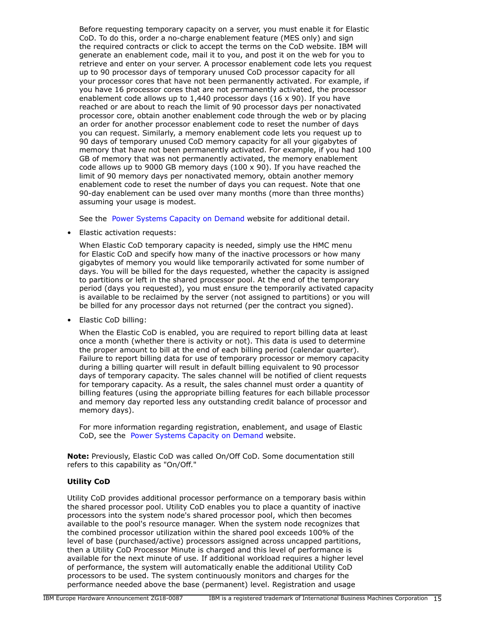Before requesting temporary capacity on a server, you must enable it for Elastic CoD. To do this, order a no-charge enablement feature (MES only) and sign the required contracts or click to accept the terms on the CoD website. IBM will generate an enablement code, mail it to you, and post it on the web for you to retrieve and enter on your server. A processor enablement code lets you request up to 90 processor days of temporary unused CoD processor capacity for all your processor cores that have not been permanently activated. For example, if you have 16 processor cores that are not permanently activated, the processor enablement code allows up to 1,440 processor days (16 x 90). If you have reached or are about to reach the limit of 90 processor days per nonactivated processor core, obtain another enablement code through the web or by placing an order for another processor enablement code to reset the number of days you can request. Similarly, a memory enablement code lets you request up to 90 days of temporary unused CoD memory capacity for all your gigabytes of memory that have not been permanently activated. For example, if you had 100 GB of memory that was not permanently activated, the memory enablement code allows up to 9000 GB memory days (100 x 90). If you have reached the limit of 90 memory days per nonactivated memory, obtain another memory enablement code to reset the number of days you can request. Note that one 90-day enablement can be used over many months (more than three months) assuming your usage is modest.

See the [Power Systems Capacity on Demand](http://www.ibm.com/systems/power/hardware/cod/) website for additional detail.

• Elastic activation requests:

When Elastic CoD temporary capacity is needed, simply use the HMC menu for Elastic CoD and specify how many of the inactive processors or how many gigabytes of memory you would like temporarily activated for some number of days. You will be billed for the days requested, whether the capacity is assigned to partitions or left in the shared processor pool. At the end of the temporary period (days you requested), you must ensure the temporarily activated capacity is available to be reclaimed by the server (not assigned to partitions) or you will be billed for any processor days not returned (per the contract you signed).

• Elastic CoD billing:

When the Elastic CoD is enabled, you are required to report billing data at least once a month (whether there is activity or not). This data is used to determine the proper amount to bill at the end of each billing period (calendar quarter). Failure to report billing data for use of temporary processor or memory capacity during a billing quarter will result in default billing equivalent to 90 processor days of temporary capacity. The sales channel will be notified of client requests for temporary capacity. As a result, the sales channel must order a quantity of billing features (using the appropriate billing features for each billable processor and memory day reported less any outstanding credit balance of processor and memory days).

For more information regarding registration, enablement, and usage of Elastic CoD, see the [Power Systems Capacity on Demand](http://www.ibm.com/systems/power/hardware/cod) website.

**Note:** Previously, Elastic CoD was called On/Off CoD. Some documentation still refers to this capability as "On/Off."

# **Utility CoD**

Utility CoD provides additional processor performance on a temporary basis within the shared processor pool. Utility CoD enables you to place a quantity of inactive processors into the system node's shared processor pool, which then becomes available to the pool's resource manager. When the system node recognizes that the combined processor utilization within the shared pool exceeds 100% of the level of base (purchased/active) processors assigned across uncapped partitions, then a Utility CoD Processor Minute is charged and this level of performance is available for the next minute of use. If additional workload requires a higher level of performance, the system will automatically enable the additional Utility CoD processors to be used. The system continuously monitors and charges for the performance needed above the base (permanent) level. Registration and usage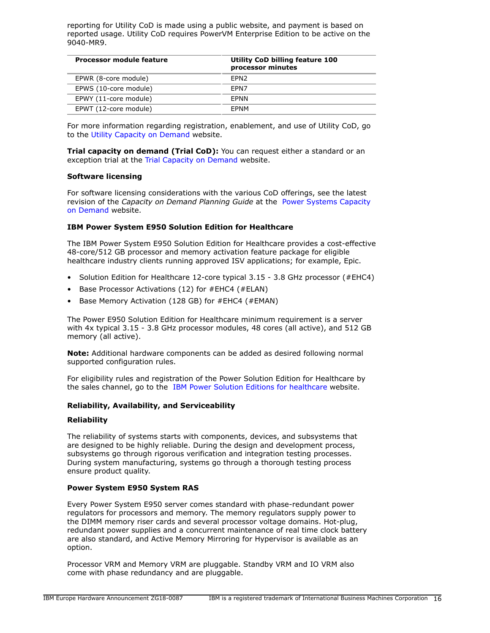reporting for Utility CoD is made using a public website, and payment is based on reported usage. Utility CoD requires PowerVM Enterprise Edition to be active on the 9040-MR9.

| Processor module feature | Utility CoD billing feature 100<br>processor minutes |
|--------------------------|------------------------------------------------------|
| EPWR (8-core module)     | FPN <sub>2</sub>                                     |
| EPWS (10-core module)    | FPN7                                                 |
| EPWY (11-core module)    | <b>FPNN</b>                                          |
| EPWT (12-core module)    | <b>FPNM</b>                                          |

For more information regarding registration, enablement, and use of Utility CoD, go to the [Utility Capacity on Demand](http://www-947.ibm.com/systems/support/planning/capacity/index.html) website.

**Trial capacity on demand (Trial CoD):** You can request either a standard or an exception trial at the [Trial Capacity on Demand](https://www-912.ibm.com/tcod_reg.nsf/TrialCod?OpenForm) website.

#### **Software licensing**

For software licensing considerations with the various CoD offerings, see the latest revision of the *Capacity on Demand Planning Guide* at the [Power Systems Capacity](http://www.ibm.com/systems/power/hardware/cod) [on Demand](http://www.ibm.com/systems/power/hardware/cod) website.

# **IBM Power System E950 Solution Edition for Healthcare**

The IBM Power System E950 Solution Edition for Healthcare provides a cost-effective 48-core/512 GB processor and memory activation feature package for eligible healthcare industry clients running approved ISV applications; for example, Epic.

- Solution Edition for Healthcare 12-core typical 3.15 3.8 GHz processor (#EHC4)
- Base Processor Activations (12) for #EHC4 (#ELAN)
- Base Memory Activation (128 GB) for #EHC4 (#EMAN)

The Power E950 Solution Edition for Healthcare minimum requirement is a server with 4x typical 3.15 - 3.8 GHz processor modules, 48 cores (all active), and 512 GB memory (all active).

**Note:** Additional hardware components can be added as desired following normal supported configuration rules.

For eligibility rules and registration of the Power Solution Edition for Healthcare by the sales channel, go to the [IBM Power Solution Editions for healthcare](https://www.ibm.com/systems/power/hardware/solutioneditions/eligibility.html) website.

#### **Reliability, Availability, and Serviceability**

#### **Reliability**

The reliability of systems starts with components, devices, and subsystems that are designed to be highly reliable. During the design and development process, subsystems go through rigorous verification and integration testing processes. During system manufacturing, systems go through a thorough testing process ensure product quality.

#### **Power System E950 System RAS**

Every Power System E950 server comes standard with phase-redundant power regulators for processors and memory. The memory regulators supply power to the DIMM memory riser cards and several processor voltage domains. Hot-plug, redundant power supplies and a concurrent maintenance of real time clock battery are also standard, and Active Memory Mirroring for Hypervisor is available as an option.

Processor VRM and Memory VRM are pluggable. Standby VRM and IO VRM also come with phase redundancy and are pluggable.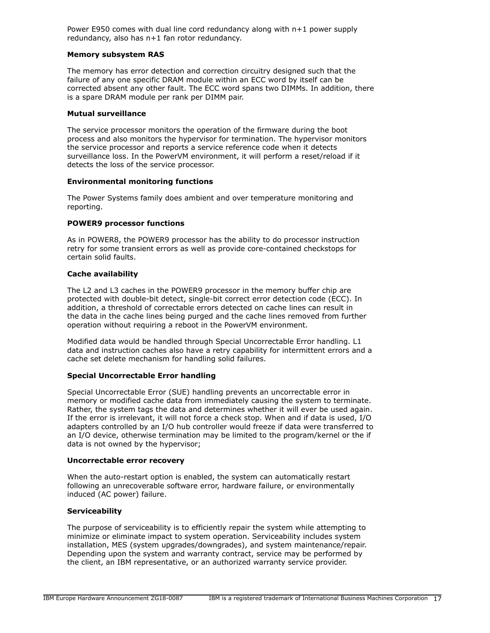Power E950 comes with dual line cord redundancy along with  $n+1$  power supply redundancy, also has n+1 fan rotor redundancy.

#### **Memory subsystem RAS**

The memory has error detection and correction circuitry designed such that the failure of any one specific DRAM module within an ECC word by itself can be corrected absent any other fault. The ECC word spans two DIMMs. In addition, there is a spare DRAM module per rank per DIMM pair.

#### **Mutual surveillance**

The service processor monitors the operation of the firmware during the boot process and also monitors the hypervisor for termination. The hypervisor monitors the service processor and reports a service reference code when it detects surveillance loss. In the PowerVM environment, it will perform a reset/reload if it detects the loss of the service processor.

#### **Environmental monitoring functions**

The Power Systems family does ambient and over temperature monitoring and reporting.

#### **POWER9 processor functions**

As in POWER8, the POWER9 processor has the ability to do processor instruction retry for some transient errors as well as provide core-contained checkstops for certain solid faults.

#### **Cache availability**

The L2 and L3 caches in the POWER9 processor in the memory buffer chip are protected with double-bit detect, single-bit correct error detection code (ECC). In addition, a threshold of correctable errors detected on cache lines can result in the data in the cache lines being purged and the cache lines removed from further operation without requiring a reboot in the PowerVM environment.

Modified data would be handled through Special Uncorrectable Error handling. L1 data and instruction caches also have a retry capability for intermittent errors and a cache set delete mechanism for handling solid failures.

# **Special Uncorrectable Error handling**

Special Uncorrectable Error (SUE) handling prevents an uncorrectable error in memory or modified cache data from immediately causing the system to terminate. Rather, the system tags the data and determines whether it will ever be used again. If the error is irrelevant, it will not force a check stop. When and if data is used, I/O adapters controlled by an I/O hub controller would freeze if data were transferred to an I/O device, otherwise termination may be limited to the program/kernel or the if data is not owned by the hypervisor;

#### **Uncorrectable error recovery**

When the auto-restart option is enabled, the system can automatically restart following an unrecoverable software error, hardware failure, or environmentally induced (AC power) failure.

# **Serviceability**

The purpose of serviceability is to efficiently repair the system while attempting to minimize or eliminate impact to system operation. Serviceability includes system installation, MES (system upgrades/downgrades), and system maintenance/repair. Depending upon the system and warranty contract, service may be performed by the client, an IBM representative, or an authorized warranty service provider.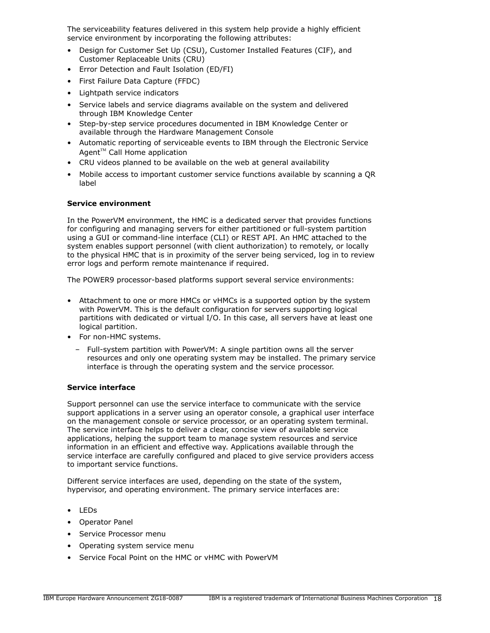The serviceability features delivered in this system help provide a highly efficient service environment by incorporating the following attributes:

- Design for Customer Set Up (CSU), Customer Installed Features (CIF), and Customer Replaceable Units (CRU)
- Error Detection and Fault Isolation (ED/FI)
- First Failure Data Capture (FFDC)
- Lightpath service indicators
- Service labels and service diagrams available on the system and delivered through IBM Knowledge Center
- Step-by-step service procedures documented in IBM Knowledge Center or available through the Hardware Management Console
- Automatic reporting of serviceable events to IBM through the Electronic Service Agent $TM$  Call Home application
- CRU videos planned to be available on the web at general availability
- Mobile access to important customer service functions available by scanning a QR label

# **Service environment**

In the PowerVM environment, the HMC is a dedicated server that provides functions for configuring and managing servers for either partitioned or full-system partition using a GUI or command-line interface (CLI) or REST API. An HMC attached to the system enables support personnel (with client authorization) to remotely, or locally to the physical HMC that is in proximity of the server being serviced, log in to review error logs and perform remote maintenance if required.

The POWER9 processor-based platforms support several service environments:

- Attachment to one or more HMCs or vHMCs is a supported option by the system with PowerVM. This is the default configuration for servers supporting logical partitions with dedicated or virtual I/O. In this case, all servers have at least one logical partition.
- For non-HMC systems.
	- Full-system partition with PowerVM: A single partition owns all the server resources and only one operating system may be installed. The primary service interface is through the operating system and the service processor.

# **Service interface**

Support personnel can use the service interface to communicate with the service support applications in a server using an operator console, a graphical user interface on the management console or service processor, or an operating system terminal. The service interface helps to deliver a clear, concise view of available service applications, helping the support team to manage system resources and service information in an efficient and effective way. Applications available through the service interface are carefully configured and placed to give service providers access to important service functions.

Different service interfaces are used, depending on the state of the system, hypervisor, and operating environment. The primary service interfaces are:

- LEDs
- Operator Panel
- Service Processor menu
- Operating system service menu
- Service Focal Point on the HMC or vHMC with PowerVM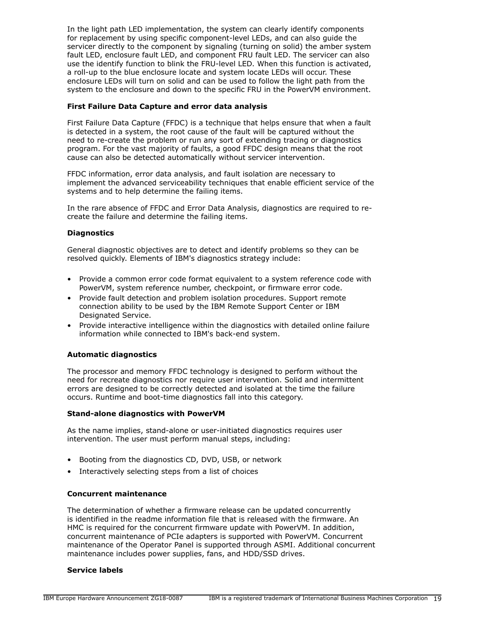In the light path LED implementation, the system can clearly identify components for replacement by using specific component-level LEDs, and can also guide the servicer directly to the component by signaling (turning on solid) the amber system fault LED, enclosure fault LED, and component FRU fault LED. The servicer can also use the identify function to blink the FRU-level LED. When this function is activated, a roll-up to the blue enclosure locate and system locate LEDs will occur. These enclosure LEDs will turn on solid and can be used to follow the light path from the system to the enclosure and down to the specific FRU in the PowerVM environment.

## **First Failure Data Capture and error data analysis**

First Failure Data Capture (FFDC) is a technique that helps ensure that when a fault is detected in a system, the root cause of the fault will be captured without the need to re-create the problem or run any sort of extending tracing or diagnostics program. For the vast majority of faults, a good FFDC design means that the root cause can also be detected automatically without servicer intervention.

FFDC information, error data analysis, and fault isolation are necessary to implement the advanced serviceability techniques that enable efficient service of the systems and to help determine the failing items.

In the rare absence of FFDC and Error Data Analysis, diagnostics are required to recreate the failure and determine the failing items.

# **Diagnostics**

General diagnostic objectives are to detect and identify problems so they can be resolved quickly. Elements of IBM's diagnostics strategy include:

- Provide a common error code format equivalent to a system reference code with PowerVM, system reference number, checkpoint, or firmware error code.
- Provide fault detection and problem isolation procedures. Support remote connection ability to be used by the IBM Remote Support Center or IBM Designated Service.
- Provide interactive intelligence within the diagnostics with detailed online failure information while connected to IBM's back-end system.

# **Automatic diagnostics**

The processor and memory FFDC technology is designed to perform without the need for recreate diagnostics nor require user intervention. Solid and intermittent errors are designed to be correctly detected and isolated at the time the failure occurs. Runtime and boot-time diagnostics fall into this category.

# **Stand-alone diagnostics with PowerVM**

As the name implies, stand-alone or user-initiated diagnostics requires user intervention. The user must perform manual steps, including:

- Booting from the diagnostics CD, DVD, USB, or network
- Interactively selecting steps from a list of choices

# **Concurrent maintenance**

The determination of whether a firmware release can be updated concurrently is identified in the readme information file that is released with the firmware. An HMC is required for the concurrent firmware update with PowerVM. In addition, concurrent maintenance of PCIe adapters is supported with PowerVM. Concurrent maintenance of the Operator Panel is supported through ASMI. Additional concurrent maintenance includes power supplies, fans, and HDD/SSD drives.

#### **Service labels**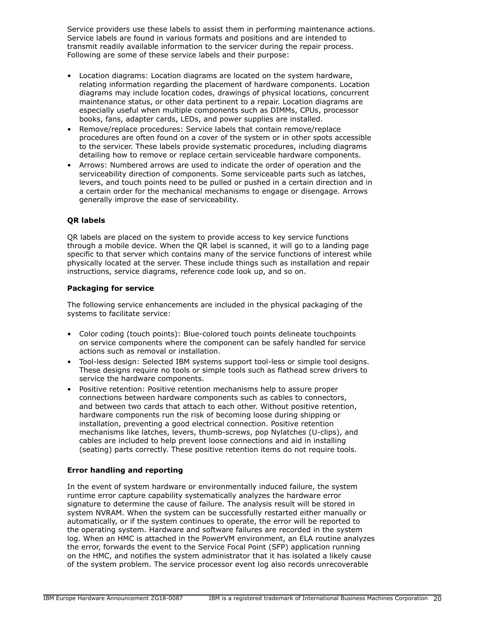Service providers use these labels to assist them in performing maintenance actions. Service labels are found in various formats and positions and are intended to transmit readily available information to the servicer during the repair process. Following are some of these service labels and their purpose:

- Location diagrams: Location diagrams are located on the system hardware, relating information regarding the placement of hardware components. Location diagrams may include location codes, drawings of physical locations, concurrent maintenance status, or other data pertinent to a repair. Location diagrams are especially useful when multiple components such as DIMMs, CPUs, processor books, fans, adapter cards, LEDs, and power supplies are installed.
- Remove/replace procedures: Service labels that contain remove/replace procedures are often found on a cover of the system or in other spots accessible to the servicer. These labels provide systematic procedures, including diagrams detailing how to remove or replace certain serviceable hardware components.
- Arrows: Numbered arrows are used to indicate the order of operation and the serviceability direction of components. Some serviceable parts such as latches, levers, and touch points need to be pulled or pushed in a certain direction and in a certain order for the mechanical mechanisms to engage or disengage. Arrows generally improve the ease of serviceability.

# **QR labels**

QR labels are placed on the system to provide access to key service functions through a mobile device. When the QR label is scanned, it will go to a landing page specific to that server which contains many of the service functions of interest while physically located at the server. These include things such as installation and repair instructions, service diagrams, reference code look up, and so on.

# **Packaging for service**

The following service enhancements are included in the physical packaging of the systems to facilitate service:

- Color coding (touch points): Blue-colored touch points delineate touchpoints on service components where the component can be safely handled for service actions such as removal or installation.
- Tool-less design: Selected IBM systems support tool-less or simple tool designs. These designs require no tools or simple tools such as flathead screw drivers to service the hardware components.
- Positive retention: Positive retention mechanisms help to assure proper connections between hardware components such as cables to connectors, and between two cards that attach to each other. Without positive retention, hardware components run the risk of becoming loose during shipping or installation, preventing a good electrical connection. Positive retention mechanisms like latches, levers, thumb-screws, pop Nylatches (U-clips), and cables are included to help prevent loose connections and aid in installing (seating) parts correctly. These positive retention items do not require tools.

# **Error handling and reporting**

In the event of system hardware or environmentally induced failure, the system runtime error capture capability systematically analyzes the hardware error signature to determine the cause of failure. The analysis result will be stored in system NVRAM. When the system can be successfully restarted either manually or automatically, or if the system continues to operate, the error will be reported to the operating system. Hardware and software failures are recorded in the system log. When an HMC is attached in the PowerVM environment, an ELA routine analyzes the error, forwards the event to the Service Focal Point (SFP) application running on the HMC, and notifies the system administrator that it has isolated a likely cause of the system problem. The service processor event log also records unrecoverable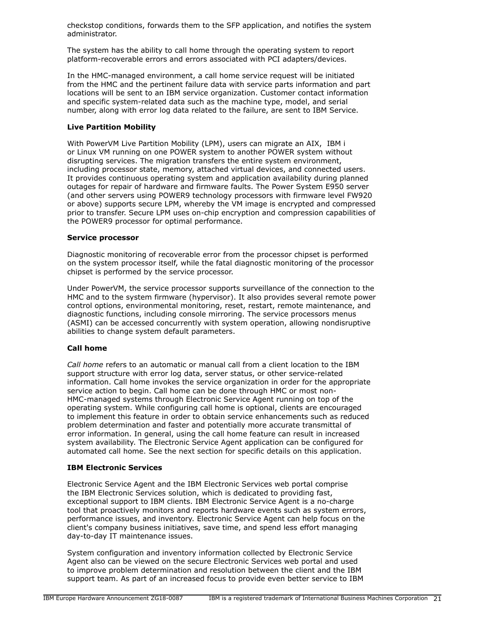checkstop conditions, forwards them to the SFP application, and notifies the system administrator.

The system has the ability to call home through the operating system to report platform-recoverable errors and errors associated with PCI adapters/devices.

In the HMC-managed environment, a call home service request will be initiated from the HMC and the pertinent failure data with service parts information and part locations will be sent to an IBM service organization. Customer contact information and specific system-related data such as the machine type, model, and serial number, along with error log data related to the failure, are sent to IBM Service.

# **Live Partition Mobility**

With PowerVM Live Partition Mobility (LPM), users can migrate an AIX, IBM i or Linux VM running on one POWER system to another POWER system without disrupting services. The migration transfers the entire system environment, including processor state, memory, attached virtual devices, and connected users. It provides continuous operating system and application availability during planned outages for repair of hardware and firmware faults. The Power System E950 server (and other servers using POWER9 technology processors with firmware level FW920 or above) supports secure LPM, whereby the VM image is encrypted and compressed prior to transfer. Secure LPM uses on-chip encryption and compression capabilities of the POWER9 processor for optimal performance.

# **Service processor**

Diagnostic monitoring of recoverable error from the processor chipset is performed on the system processor itself, while the fatal diagnostic monitoring of the processor chipset is performed by the service processor.

Under PowerVM, the service processor supports surveillance of the connection to the HMC and to the system firmware (hypervisor). It also provides several remote power control options, environmental monitoring, reset, restart, remote maintenance, and diagnostic functions, including console mirroring. The service processors menus (ASMI) can be accessed concurrently with system operation, allowing nondisruptive abilities to change system default parameters.

# **Call home**

*Call home* refers to an automatic or manual call from a client location to the IBM support structure with error log data, server status, or other service-related information. Call home invokes the service organization in order for the appropriate service action to begin. Call home can be done through HMC or most non-HMC-managed systems through Electronic Service Agent running on top of the operating system. While configuring call home is optional, clients are encouraged to implement this feature in order to obtain service enhancements such as reduced problem determination and faster and potentially more accurate transmittal of error information. In general, using the call home feature can result in increased system availability. The Electronic Service Agent application can be configured for automated call home. See the next section for specific details on this application.

# **IBM Electronic Services**

Electronic Service Agent and the IBM Electronic Services web portal comprise the IBM Electronic Services solution, which is dedicated to providing fast, exceptional support to IBM clients. IBM Electronic Service Agent is a no-charge tool that proactively monitors and reports hardware events such as system errors, performance issues, and inventory. Electronic Service Agent can help focus on the client's company business initiatives, save time, and spend less effort managing day-to-day IT maintenance issues.

System configuration and inventory information collected by Electronic Service Agent also can be viewed on the secure Electronic Services web portal and used to improve problem determination and resolution between the client and the IBM support team. As part of an increased focus to provide even better service to IBM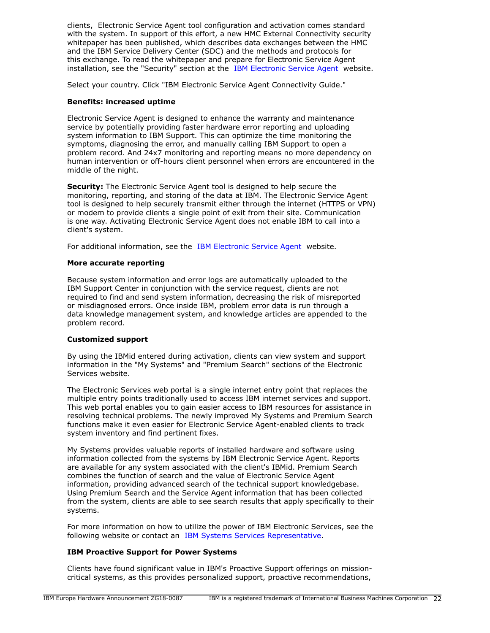clients, Electronic Service Agent tool configuration and activation comes standard with the system. In support of this effort, a new HMC External Connectivity security whitepaper has been published, which describes data exchanges between the HMC and the IBM Service Delivery Center (SDC) and the methods and protocols for this exchange. To read the whitepaper and prepare for Electronic Service Agent installation, see the "Security" section at the [IBM Electronic Service Agent](http://www.ibm.com/support/esa) website.

Select your country. Click "IBM Electronic Service Agent Connectivity Guide."

## **Benefits: increased uptime**

Electronic Service Agent is designed to enhance the warranty and maintenance service by potentially providing faster hardware error reporting and uploading system information to IBM Support. This can optimize the time monitoring the symptoms, diagnosing the error, and manually calling IBM Support to open a problem record. And 24x7 monitoring and reporting means no more dependency on human intervention or off-hours client personnel when errors are encountered in the middle of the night.

**Security:** The Electronic Service Agent tool is designed to help secure the monitoring, reporting, and storing of the data at IBM. The Electronic Service Agent tool is designed to help securely transmit either through the internet (HTTPS or VPN) or modem to provide clients a single point of exit from their site. Communication is one way. Activating Electronic Service Agent does not enable IBM to call into a client's system.

For additional information, see the [IBM Electronic Service Agent](http://www.ibm.com/support/esa) website.

#### **More accurate reporting**

Because system information and error logs are automatically uploaded to the IBM Support Center in conjunction with the service request, clients are not required to find and send system information, decreasing the risk of misreported or misdiagnosed errors. Once inside IBM, problem error data is run through a data knowledge management system, and knowledge articles are appended to the problem record.

#### **Customized support**

By using the IBMid entered during activation, clients can view system and support information in the "My Systems" and "Premium Search" sections of the Electronic Services website.

The Electronic Services web portal is a single internet entry point that replaces the multiple entry points traditionally used to access IBM internet services and support. This web portal enables you to gain easier access to IBM resources for assistance in resolving technical problems. The newly improved My Systems and Premium Search functions make it even easier for Electronic Service Agent-enabled clients to track system inventory and find pertinent fixes.

My Systems provides valuable reports of installed hardware and software using information collected from the systems by IBM Electronic Service Agent. Reports are available for any system associated with the client's IBMid. Premium Search combines the function of search and the value of Electronic Service Agent information, providing advanced search of the technical support knowledgebase. Using Premium Search and the Service Agent information that has been collected from the system, clients are able to see search results that apply specifically to their systems.

For more information on how to utilize the power of IBM Electronic Services, see the following website or contact an [IBM Systems Services Representative](http://www.ibm.com/support/electronic).

# **IBM Proactive Support for Power Systems**

Clients have found significant value in IBM's Proactive Support offerings on missioncritical systems, as this provides personalized support, proactive recommendations,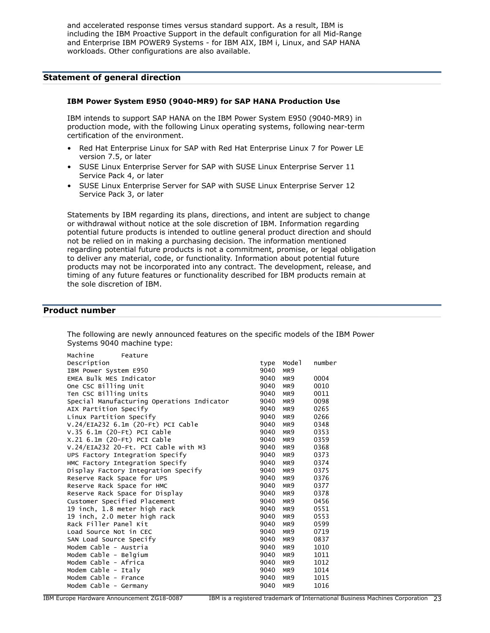and accelerated response times versus standard support. As a result, IBM is including the IBM Proactive Support in the default configuration for all Mid-Range and Enterprise IBM POWER9 Systems - for IBM AIX, IBM i, Linux, and SAP HANA workloads. Other configurations are also available.

#### <span id="page-22-0"></span>**Statement of general direction**

#### **IBM Power System E950 (9040-MR9) for SAP HANA Production Use**

IBM intends to support SAP HANA on the IBM Power System E950 (9040-MR9) in production mode, with the following Linux operating systems, following near-term certification of the environment.

- Red Hat Enterprise Linux for SAP with Red Hat Enterprise Linux 7 for Power LE version 7.5, or later
- SUSE Linux Enterprise Server for SAP with SUSE Linux Enterprise Server 11 Service Pack 4, or later
- SUSE Linux Enterprise Server for SAP with SUSE Linux Enterprise Server 12 Service Pack 3, or later

Statements by IBM regarding its plans, directions, and intent are subject to change or withdrawal without notice at the sole discretion of IBM. Information regarding potential future products is intended to outline general product direction and should not be relied on in making a purchasing decision. The information mentioned regarding potential future products is not a commitment, promise, or legal obligation to deliver any material, code, or functionality. Information about potential future products may not be incorporated into any contract. The development, release, and timing of any future features or functionality described for IBM products remain at the sole discretion of IBM.

#### <span id="page-22-1"></span>**Product number**

| Machine<br>Feature                         |      |                 |        |
|--------------------------------------------|------|-----------------|--------|
| Description                                | type | Mode1           | number |
| IBM Power System E950                      | 9040 | MR <sub>9</sub> |        |
| EMEA Bulk MES Indicator                    | 9040 | MR <sub>9</sub> | 0004   |
| One CSC Billing Unit                       | 9040 | MR <sub>9</sub> | 0010   |
| Ten CSC Billing Units                      | 9040 | MR <sub>9</sub> | 0011   |
| Special Manufacturing Operations Indicator | 9040 | MR <sub>9</sub> | 0098   |
| AIX Partition Specify                      | 9040 | MR <sub>9</sub> | 0265   |
| Linux Partition Specify                    | 9040 | MR9             | 0266   |
| V.24/EIA232 6.1m (20-Ft) PCI Cable         | 9040 | MR9             | 0348   |
| $V.35$ 6.1m (20-Ft) PCI Cable              | 9040 | MR9             | 0353   |
| X.21 6.1m (20-Ft) PCI Cable                | 9040 | MR9             | 0359   |
| V.24/EIA232 20-Ft. PCI Cable with M3       | 9040 | MR <sub>9</sub> | 0368   |
| UPS Factory Integration Specify            | 9040 | MR <sub>9</sub> | 0373   |
| HMC Factory Integration Specify            | 9040 | MR9             | 0374   |
| Display Factory Integration Specify        | 9040 | MR9             | 0375   |
| Reserve Rack Space for UPS                 | 9040 | MR9             | 0376   |
| Reserve Rack Space for HMC                 | 9040 | MR9             | 0377   |
| Reserve Rack Space for Display             | 9040 | MR9             | 0378   |
| Customer Specified Placement               | 9040 | MR <sub>9</sub> | 0456   |
| 19 inch, 1.8 meter high rack               | 9040 | MR9             | 0551   |
| 19 inch, 2.0 meter high rack               | 9040 | MR9             | 0553   |
| Rack Filler Panel Kit                      | 9040 | MR9             | 0599   |
| Load Source Not in CEC                     | 9040 | MR <sub>9</sub> | 0719   |
| SAN Load Source Specify                    | 9040 | MR <sub>9</sub> | 0837   |
| Modem Cable - Austria                      | 9040 | MR9             | 1010   |
| Modem Cable - Belgium                      | 9040 | MR <sub>9</sub> | 1011   |
| Modem Cable - Africa                       | 9040 | MR <sub>9</sub> | 1012   |
| Modem Cable - Italy                        | 9040 | MR9             | 1014   |
| Modem Cable - France                       | 9040 | MR <sub>9</sub> | 1015   |
| Modem Cable - Germany                      | 9040 | MR <sub>9</sub> | 1016   |
|                                            |      |                 |        |

The following are newly announced features on the specific models of the IBM Power Systems 9040 machine type: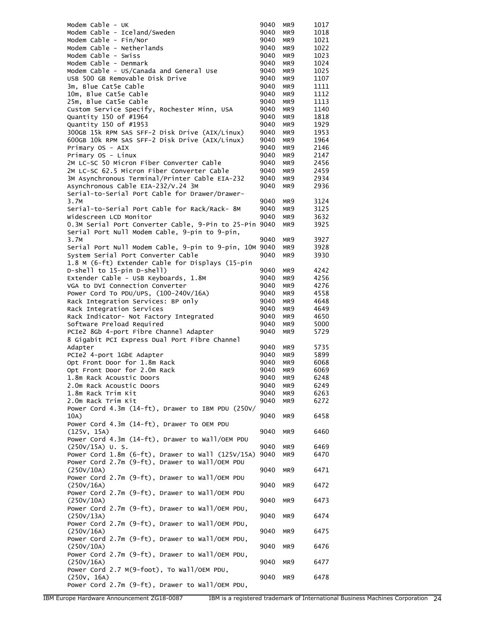| Modem Cable - UK                                       | 9040 | MR9             | 1017 |
|--------------------------------------------------------|------|-----------------|------|
| Modem Cable - Iceland/Sweden                           | 9040 | MR9             | 1018 |
| Modem Cable - Fin/Nor                                  | 9040 | MR9             | 1021 |
| Modem Cable - Netherlands                              | 9040 | MR9             | 1022 |
| Modem Cable - Swiss                                    | 9040 | MR9             | 1023 |
| Modem Cable - Denmark                                  | 9040 | MR9             | 1024 |
| Modem Cable - US/Canada and General Use                | 9040 | MR9             | 1025 |
| USB 500 GB Removable Disk Drive                        | 9040 | MR9             | 1107 |
| 3m, Blue Cat5e Cable                                   | 9040 | MR9             | 1111 |
| 10m, Blue Cat5e Cable                                  | 9040 | MR9             | 1112 |
| 25m, Blue Cat5e Cable                                  | 9040 | MR9             | 1113 |
| Custom Service Specify, Rochester Minn, USA            | 9040 | MR9             | 1140 |
| Quantity 150 of #1964                                  | 9040 | MR9             | 1818 |
| Quantity 150 of #1953                                  | 9040 | MR9             | 1929 |
| 300GB 15k RPM SAS SFF-2 Disk Drive (AIX/Linux)         | 9040 | MR9             | 1953 |
| 600GB 10k RPM SAS SFF-2 Disk Drive (AIX/Linux)         | 9040 | MR9             | 1964 |
| Primary OS - AIX                                       | 9040 | MR9             | 2146 |
| Primary OS - Linux                                     | 9040 | MR9             | 2147 |
| 2M LC-SC 50 Micron Fiber Converter Cable               | 9040 | MR9             | 2456 |
| 2M LC-SC 62.5 Micron Fiber Converter Cable             | 9040 | MR9             | 2459 |
| 3M Asynchronous Terminal/Printer Cable EIA-232         | 9040 | MR9             | 2934 |
| Asynchronous Cable EIA-232/V.24 3M                     | 9040 | MR9             | 2936 |
| Serial-to-Serial Port Cable for Drawer/Drawer-         |      |                 |      |
| 3.7M                                                   | 9040 | MR9             | 3124 |
| Serial-to-Serial Port Cable for Rack/Rack- 8M          | 9040 | MR9             | 3125 |
| Widescreen LCD Monitor                                 | 9040 | MR9             | 3632 |
| 0.3M Serial Port Converter Cable, 9-Pin to 25-Pin 9040 |      | MR9             | 3925 |
| Serial Port Null Modem Cable, 9-pin to 9-pin,          |      |                 |      |
| 3.7M                                                   | 9040 | MR9             | 3927 |
| Serial Port Null Modem Cable, 9-pin to 9-pin, 10M 9040 |      | MR9             | 3928 |
|                                                        | 9040 |                 |      |
| System Serial Port Converter Cable                     |      | MR9             | 3930 |
| 1.8 M (6-ft) Extender Cable for Displays (15-pin       |      |                 |      |
| D-shell to 15-pin D-shell)                             | 9040 | MR9             | 4242 |
| Extender Cable - USB Keyboards, 1.8M                   | 9040 | MR9             | 4256 |
| VGA to DVI Connection Converter                        | 9040 | MR9             | 4276 |
| Power Cord To PDU/UPS, (100-240V/16A)                  | 9040 | MR9             | 4558 |
| Rack Integration Services: BP only                     | 9040 | MR9             | 4648 |
| Rack Integration Services                              | 9040 | MR9             | 4649 |
| Rack Indicator- Not Factory Integrated                 | 9040 | MR9             | 4650 |
| Software Preload Required                              | 9040 | MR9             | 5000 |
| PCIe2 8Gb 4-port Fibre Channel Adapter                 | 9040 | MR9             | 5729 |
| 8 Gigabit PCI Express Dual Port Fibre Channel          |      |                 |      |
| Adapter                                                | 9040 | MR9             | 5735 |
| PCIe2 4-port 1GbE Adapter                              | 9040 | MR9             | 5899 |
| Opt Front Door for 1.8m Rack                           | 9040 | MR <sub>9</sub> | 6068 |
| Opt Front Door for 2.0m Rack                           | 9040 | MR9             | 6069 |
| 1.8m Rack Acoustic Doors                               | 9040 | MR <sub>9</sub> | 6248 |
| 2.0m Rack Acoustic Doors                               | 9040 | MR9             | 6249 |
| 1.8m Rack Trim Kit                                     | 9040 | MR9             | 6263 |
| 2.0m Rack Trim Kit                                     | 9040 | MR9             | 6272 |
| Power Cord 4.3m (14-ft), Drawer to IBM PDU (250V/      |      |                 |      |
| 10A)                                                   | 9040 | MR9             | 6458 |
| Power Cord 4.3m (14-ft), Drawer To OEM PDU             |      |                 |      |
| (125V, 15A)                                            | 9040 | MR9             | 6460 |
| Power Cord 4.3m (14-ft), Drawer to Wall/OEM PDU        |      |                 |      |
| $(250V/15A)$ U.S.                                      | 9040 | MR9             | 6469 |
| Power Cord 1.8m (6-ft), Drawer to Wall (125V/15A)      | 9040 | MR9             | 6470 |
| Power Cord 2.7m (9-ft), Drawer to Wall/OEM PDU         |      |                 |      |
| (250V/10A)                                             | 9040 | MR9             | 6471 |
| Power Cord 2.7m (9-ft), Drawer to Wall/OEM PDU         |      |                 |      |
| (250V/16A)                                             | 9040 | MR9             | 6472 |
| Power Cord 2.7m (9-ft), Drawer to Wall/OEM PDU         |      |                 |      |
| (250V/10A)                                             | 9040 | MR9             | 6473 |
| Power Cord 2.7m (9-ft), Drawer to Wall/OEM PDU,        |      |                 |      |
| (250V/13A)                                             | 9040 | MR9             | 6474 |
| Power Cord 2.7m (9-ft), Drawer to Wall/OEM PDU,        |      |                 |      |
| (250V/16A)                                             | 9040 | MR9             | 6475 |
| Power Cord 2.7m (9-ft), Drawer to Wall/OEM PDU,        |      |                 |      |
| (250V/10A)                                             | 9040 | MR9             | 6476 |
| Power Cord 2.7m (9-ft), Drawer to Wall/OEM PDU,        |      |                 |      |
| (250V/16A)                                             | 9040 | MR9             | 6477 |
| Power Cord 2.7 M(9-foot), To Wall/OEM PDU,             |      |                 |      |
| (250V, 16A)                                            | 9040 | MR9             | 6478 |
| Power Cord 2.7m (9-ft), Drawer to Wall/OEM PDU,        |      |                 |      |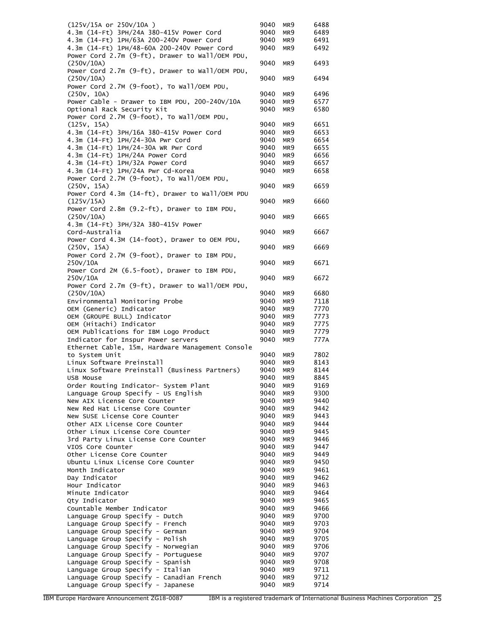| (125V/15A or 250V/10A)                           | 9040 | MR9             | 6488 |
|--------------------------------------------------|------|-----------------|------|
| 4.3m (14-Ft) 3PH/24A 380-415V Power Cord         | 9040 | MR9             | 6489 |
| 4.3m (14-Ft) 1PH/63A 200-240V Power Cord         | 9040 | MR9             | 6491 |
| 4.3m (14-Ft) 1PH/48-60A 200-240V Power Cord      | 9040 | MR9             | 6492 |
| Power Cord 2.7m (9-ft), Drawer to Wall/OEM PDU,  |      |                 |      |
| (250V/10A)                                       | 9040 | MR9             | 6493 |
| Power Cord 2.7m (9-ft), Drawer to Wall/OEM PDU,  |      |                 |      |
| (250V/10A)                                       | 9040 | MR9             | 6494 |
| Power Cord 2.7M (9-foot), To Wall/OEM PDU,       |      |                 |      |
| (250v, 10A)                                      | 9040 | MR9             | 6496 |
| Power Cable - Drawer to IBM PDU, 200-240V/10A    | 9040 | MR9             | 6577 |
| Optional Rack Security Kit                       | 9040 | MR9             | 6580 |
| Power Cord 2.7M (9-foot), To Wall/OEM PDU,       |      |                 |      |
| (125V, 15A)                                      | 9040 | MR9             | 6651 |
| 4.3m (14-Ft) 3PH/16A 380-415V Power Cord         | 9040 | MR9             | 6653 |
| 4.3m (14-Ft) 1PH/24-30A Pwr Cord                 | 9040 | MR9             | 6654 |
| 4.3m (14-Ft) 1PH/24-30A WR Pwr Cord              | 9040 | MR9             | 6655 |
| 4.3m (14-Ft) 1PH/24A Power Cord                  | 9040 | MR9             | 6656 |
| 4.3m (14-Ft) 1PH/32A Power Cord                  | 9040 | MR9             | 6657 |
| 4.3m (14-Ft) 1PH/24A Pwr Cd-Korea                | 9040 | MR9             | 6658 |
| Power Cord 2.7M (9-foot), To Wall/OEM PDU,       |      |                 |      |
| (250V, 15A)                                      | 9040 | MR9             | 6659 |
| Power Cord 4.3m (14-ft), Drawer to Wall/OEM PDU  |      |                 |      |
| (125V/15A)                                       | 9040 | MR9             | 6660 |
| Power Cord 2.8m (9.2-ft), Drawer to IBM PDU,     |      |                 |      |
|                                                  |      |                 |      |
| (250V/10A)                                       | 9040 | MR9             | 6665 |
| 4.3m (14-Ft) 3PH/32A 380-415V Power              |      |                 |      |
| Cord-Australia                                   | 9040 | MR9             | 6667 |
| Power Cord 4.3M (14-foot), Drawer to OEM PDU,    |      |                 |      |
| (250v, 15A)                                      | 9040 | MR9             | 6669 |
| Power Cord 2.7M (9-foot), Drawer to IBM PDU,     |      |                 |      |
| 250V/10A                                         | 9040 | MR9             | 6671 |
| Power Cord 2M (6.5-foot), Drawer to IBM PDU,     |      |                 |      |
| 250V/10A                                         | 9040 | MR9             | 6672 |
| Power Cord 2.7m (9-ft), Drawer to Wall/OEM PDU,  |      |                 |      |
| (250V/10A)                                       | 9040 | MR9             | 6680 |
| Environmental Monitoring Probe                   | 9040 | MR9             | 7118 |
| OEM (Generic) Indicator                          |      | MR9             | 7770 |
|                                                  | 9040 |                 |      |
| OEM (GROUPE BULL) Indicator                      | 9040 | MR9             | 7773 |
|                                                  | 9040 | MR9             | 7775 |
| OEM (Hitachi) Indicator                          |      | MR9             | 7779 |
| OEM Publications for IBM Logo Product            | 9040 | MR9             | 777A |
| Indicator for Inspur Power servers               | 9040 |                 |      |
| Ethernet Cable, 15m, Hardware Management Console |      |                 |      |
| to System Unit                                   | 9040 | MR9             | 7802 |
| Linux Software Preinstall                        | 9040 | MR9             | 8143 |
| Linux Software Preinstall (Business Partners)    | 9040 | MR <sub>9</sub> | 8144 |
| USB Mouse                                        | 9040 | MR9             | 8845 |
| Order Routing Indicator- System Plant            | 9040 | MR9             | 9169 |
| Language Group Specify - US English              | 9040 | MR9             | 9300 |
| New AIX License Core Counter                     | 9040 | MR9             | 9440 |
| New Red Hat License Core Counter                 | 9040 | MR9             | 9442 |
| New SUSE License Core Counter                    | 9040 | MR9             | 9443 |
| Other AIX License Core Counter                   | 9040 | MR9             | 9444 |
| Other Linux License Core Counter                 | 9040 | MR9             | 9445 |
| 3rd Party Linux License Core Counter             | 9040 | MR9             | 9446 |
| VIOS Core Counter                                | 9040 | MR9             | 9447 |
| Other License Core Counter                       | 9040 | MR9             | 9449 |
| Ubuntu Linux License Core Counter                | 9040 | MR9             | 9450 |
| Month Indicator                                  | 9040 | MR9             | 9461 |
| Day Indicator                                    | 9040 | MR9             | 9462 |
| Hour Indicator                                   | 9040 | MR9             | 9463 |
| Minute Indicator                                 | 9040 | MR9             | 9464 |
| Qty Indicator                                    | 9040 | MR9             | 9465 |
| Countable Member Indicator                       | 9040 | MR9             | 9466 |
| Language Group Specify - Dutch                   | 9040 | MR9             | 9700 |
| Language Group Specify - French                  | 9040 | MR9             | 9703 |
| Language Group Specify - German                  | 9040 | MR9             | 9704 |
| Language Group Specify - Polish                  | 9040 | MR9             | 9705 |
| Language Group Specify - Norwegian               | 9040 | MR9             | 9706 |
| Language Group Specify - Portuguese              | 9040 | MR9             | 9707 |
| Language Group Specify - Spanish                 | 9040 | MR9             | 9708 |
| Language Group Specify - Italian                 | 9040 | MR9             | 9711 |
| Language Group Specify - Canadian French         | 9040 | MR9             | 9712 |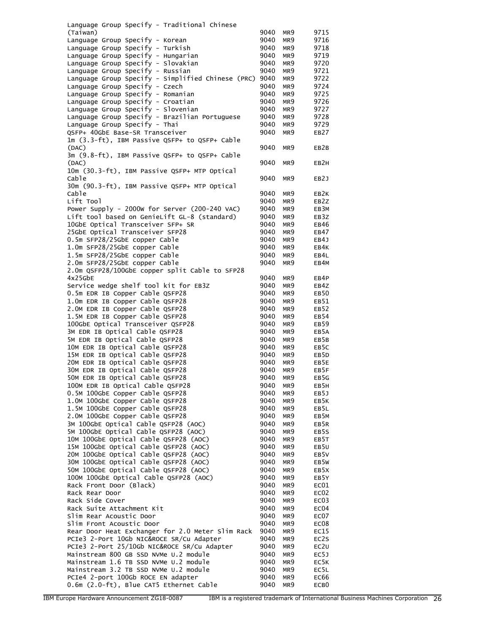| Language Group Specify - Traditional Chinese                                                 |              |                                    |                   |
|----------------------------------------------------------------------------------------------|--------------|------------------------------------|-------------------|
| (Taiwan)                                                                                     | 9040         | MR9                                | 9715              |
| Language Group Specify - Korean                                                              | 9040         | MR9                                | 9716              |
| Language Group Specify - Turkish                                                             | 9040         | MR <sub>9</sub>                    | 9718              |
| Language Group Specify - Hungarian                                                           | 9040         | MR9                                | 9719              |
| Language Group Specify - Slovakian                                                           | 9040         | MR <sub>9</sub>                    | 9720              |
| Language Group Specify - Russian                                                             | 9040         | MR9                                | 9721              |
| Language Group Specify - Simplified Chinese (PRC) 9040                                       |              | MR <sub>9</sub>                    | 9722              |
| Language Group Specify - Czech<br>Language Group Specify - Romanian                          | 9040<br>9040 | MR <sub>9</sub><br>MR9             | 9724<br>9725      |
| Language Group Specify - Croatian                                                            | 9040         | MR <sub>9</sub>                    | 9726              |
| Language Group Specify - Slovenian                                                           | 9040         | MR <sub>9</sub>                    | 9727              |
| Language Group Specify - Brazilian Portuguese                                                | 9040         | MR <sub>9</sub>                    | 9728              |
| Language Group Specify - Thai                                                                | 9040         | MR <sub>9</sub>                    | 9729              |
| QSFP+ 40GbE Base-SR Transceiver                                                              | 9040         | MR <sub>9</sub>                    | EB27              |
| 1m (3.3-ft), IBM Passive QSFP+ to QSFP+ Cable                                                |              |                                    |                   |
| (DAC)                                                                                        | 9040         | MR <sub>9</sub>                    | EB2B              |
| 3m (9.8-ft), IBM Passive QSFP+ to QSFP+ Cable                                                |              |                                    |                   |
| (DAC)                                                                                        | 9040         | MR <sub>9</sub>                    | EB <sub>2</sub> H |
| 10m (30.3-ft), IBM Passive QSFP+ MTP Optical                                                 |              |                                    |                   |
| Cable<br>30m (90.3-ft), IBM Passive QSFP+ MTP Optical                                        | 9040         | MR <sub>9</sub>                    | EB2J              |
| Cable                                                                                        | 9040         | MR9                                | EB2K              |
| Lift Tool                                                                                    | 9040         | MR <sub>9</sub>                    | EB2Z              |
| Power Supply - 2000w for Server (200-240 VAC)                                                | 9040         | MR9                                | EB3M              |
| Lift tool based on GenieLift GL-8 (standard)                                                 | 9040         | MR <sub>9</sub>                    | EB3Z              |
| 10GbE Optical Transceiver SFP+ SR                                                            | 9040         | MR <sub>9</sub>                    | EB46              |
| 25GbE Optical Transceiver SFP28                                                              | 9040         | MR <sub>9</sub>                    | EB47              |
| 0.5m SFP28/25GbE copper Cable                                                                | 9040         | MR <sub>9</sub>                    | EB4J              |
| 1.0m SFP28/25GbE copper Cable                                                                | 9040         | MR9                                | EB4K              |
| 1.5m SFP28/25GbE copper Cable                                                                | 9040         | MR <sub>9</sub>                    | EB4L              |
| 2.0m SFP28/25GbE copper Cable                                                                | 9040         | MR <sub>9</sub>                    | EB4M              |
| 2.0m QSFP28/100GbE copper split Cable to SFP28                                               |              |                                    |                   |
| $4x25$ GbE                                                                                   | 9040         | MR9                                | EB4P              |
| Service wedge shelf tool kit for EB3Z                                                        | 9040         | MR9                                | EB4Z              |
| 0.5m EDR IB Copper Cable QSFP28                                                              | 9040         | MR <sub>9</sub>                    | EB <sub>50</sub>  |
| 1.0m EDR IB Copper Cable QSFP28<br>2.0M EDR IB Copper Cable QSFP28                           | 9040<br>9040 | MR <sub>9</sub><br>MR <sub>9</sub> | EB51<br>EB52      |
| 1.5M EDR IB Copper Cable QSFP28                                                              | 9040         | MR <sub>9</sub>                    | EB54              |
| 100GbE Optical Transceiver QSFP28                                                            | 9040         | MR9                                | EB59              |
| 3M EDR IB Optical Cable QSFP28                                                               | 9040         | MR <sub>9</sub>                    | EB5A              |
| 5M EDR IB Optical Cable QSFP28                                                               | 9040         | MR <sub>9</sub>                    | EB5B              |
| 10M EDR IB Optical Cable QSFP28                                                              | 9040         | MR <sub>9</sub>                    | EB5C              |
| 15M EDR IB Optical Cable QSFP28                                                              | 9040         | MR <sub>9</sub>                    | EB <sub>5</sub> D |
| 20M EDR IB Optical Cable QSFP28                                                              | 9040         | MR9                                | EB5E              |
| 30M EDR IB Optical Cable QSFP28                                                              | 9040         | MR <sub>9</sub>                    | EB5F              |
| 50M EDR IB Optical Cable QSFP28                                                              | 9040         | MR9                                | EB5G              |
| 100M EDR IB Optical Cable QSFP28                                                             | 9040         | MR9                                | EB5H              |
| 0.5M 100GbE Copper Cable QSFP28                                                              | 9040         | MR9                                | EB5J              |
| 1.0M 100GbE Copper Cable QSFP28                                                              | 9040         | MR9                                | EB5K              |
| 1.5M 100GbE Copper Cable QSFP28<br>2.0M 100GbE Copper Cable QSFP28                           | 9040         | MR9                                | EB5L              |
| 3M 100GbE Optical Cable QSFP28 (AOC)                                                         | 9040<br>9040 | MR9<br>MR9                         | EB5M<br>EB5R      |
| 5M 100GbE Optical Cable QSFP28 (AOC)                                                         | 9040         | MR9                                | EB5S              |
| 10M 100GbE Optical Cable QSFP28 (AOC)                                                        | 9040         | MR9                                | EB5T              |
| 15M 100GbE Optical Cable QSFP28 (AOC)                                                        | 9040         | MR9                                | EB5U              |
| 20M 100GbE Optical Cable QSFP28 (AOC)                                                        | 9040         | MR9                                | EB5V              |
| 30M 100GbE Optical Cable QSFP28 (AOC)                                                        | 9040         | MR9                                | EB5W              |
| 50M 100GbE Optical Cable QSFP28 (AOC)                                                        | 9040         | MR9                                | EB5X              |
| 100M 100GbE Optical Cable QSFP28 (AOC)                                                       | 9040         | MR9                                | EB5Y              |
| Rack Front Door (Black)                                                                      | 9040         | MR9                                | EC01              |
| Rack Rear Door                                                                               | 9040         | MR9                                | EC <sub>02</sub>  |
| Rack Side Cover                                                                              | 9040         | MR9                                | EC <sub>03</sub>  |
| Rack Suite Attachment Kit                                                                    | 9040         | MR9                                | EC04              |
| Slim Rear Acoustic Door                                                                      | 9040         | MR9                                | EC07              |
| Slim Front Acoustic Door                                                                     | 9040         | MR9                                | EC <sub>08</sub>  |
| Rear Door Heat Exchanger for 2.0 Meter Slim Rack<br>PCIe3 2-Port 10Gb NIC&ROCE SR/Cu Adapter | 9040<br>9040 | MR9<br>MR9                         | EC15<br>EC2S      |
| PCIe3 2-Port 25/10Gb NIC&ROCE SR/Cu Adapter                                                  | 9040         | MR9                                | EC2U              |
| Mainstream 800 GB SSD NVMe U.2 module                                                        | 9040         | MR9                                | EC5J              |
| Mainstream 1.6 TB SSD NVMe U.2 module                                                        | 9040         | MR9                                | EC5K              |
| Mainstream 3.2 TB SSD NVMe U.2 module                                                        | 9040         | MR9                                | EC5L              |
| PCIe4 2-port 100Gb ROCE EN adapter                                                           | 9040         | MR9                                | EC66              |
| 0.6m (2.0-ft), Blue CAT5 Ethernet Cable                                                      | 9040         | MR9                                | ECB <sub>0</sub>  |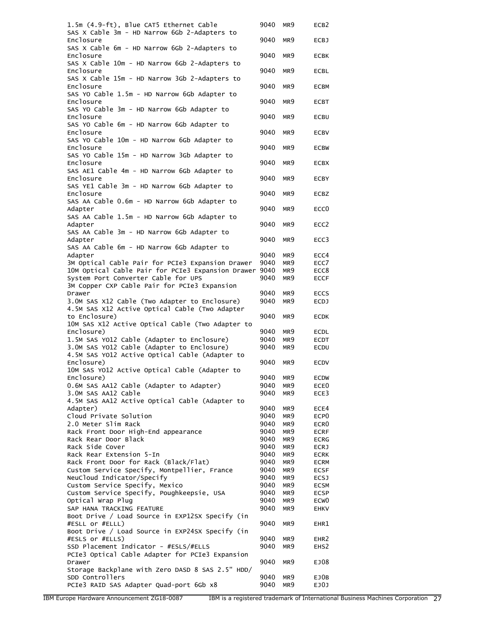| 1.5m (4.9-ft), Blue CAT5 Ethernet Cable                                                  | 9040         | MR9             | ECB <sub>2</sub> |
|------------------------------------------------------------------------------------------|--------------|-----------------|------------------|
| SAS X Cable 3m - HD Narrow 6Gb 2-Adapters to<br>Enclosure                                | 9040         | MR9             | <b>ECBJ</b>      |
| SAS X Cable 6m - HD Narrow 6Gb 2-Adapters to                                             |              |                 |                  |
| Enclosure                                                                                | 9040         | MR9             | <b>ECBK</b>      |
| SAS X Cable 10m - HD Narrow 6Gb 2-Adapters to<br>Enclosure                               | 9040         | MR9             | <b>ECBL</b>      |
| SAS X Cable 15m - HD Narrow 3Gb 2-Adapters to                                            |              |                 |                  |
| Enclosure<br>SAS YO Cable 1.5m - HD Narrow 6Gb Adapter to                                | 9040         | MR <sub>9</sub> | <b>ECBM</b>      |
| Enclosure                                                                                | 9040         | MR <sub>9</sub> | <b>ECBT</b>      |
| SAS YO Cable 3m - HD Narrow 6Gb Adapter to<br>Enclosure                                  | 9040         | MR9             | ECBU             |
| SAS YO Cable 6m - HD Narrow 6Gb Adapter to                                               |              |                 |                  |
| Enclosure                                                                                | 9040         | MR9             | <b>ECBV</b>      |
| SAS YO Cable 10m - HD Narrow 6Gb Adapter to<br>Enclosure                                 | 9040         | MR9             | <b>ECBW</b>      |
| SAS YO Cable 15m - HD Narrow 3Gb Adapter to                                              |              |                 |                  |
| Enclosure<br>SAS AE1 Cable 4m - HD Narrow 6Gb Adapter to                                 | 9040         | MR9             | <b>ECBX</b>      |
| Enclosure                                                                                | 9040         | MR9             | <b>ECBY</b>      |
| SAS YE1 Cable 3m - HD Narrow 6Gb Adapter to<br>Enclosure                                 | 9040         | MR9             | <b>ECBZ</b>      |
| SAS AA Cable 0.6m - HD Narrow 6Gb Adapter to                                             |              |                 |                  |
| Adapter                                                                                  | 9040         | MR9             | ECC <sub>0</sub> |
| SAS AA Cable 1.5m - HD Narrow 6Gb Adapter to<br>Adapter                                  | 9040         | MR9             | ECC <sub>2</sub> |
| SAS AA Cable 3m - HD Narrow 6Gb Adapter to                                               |              |                 |                  |
| Adapter<br>SAS AA Cable 6m - HD Narrow 6Gb Adapter to                                    | 9040         | MR <sub>9</sub> | ECC3             |
| Adapter                                                                                  | 9040         | MR9             | ECC4             |
| 3M Optical Cable Pair for PCIe3 Expansion Drawer                                         | 9040         | MR9             | ECC7             |
| 10M Optical Cable Pair for PCIe3 Expansion Drawer                                        | 9040         | MR9             | ECC8             |
| System Port Converter Cable for UPS                                                      | 9040         | MR9             | <b>ECCF</b>      |
| 3M Copper CXP Cable Pair for PCIe3 Expansion                                             |              |                 |                  |
| Drawer                                                                                   | 9040         | MR9             | <b>ECCS</b>      |
| 3.0M SAS X12 Cable (Two Adapter to Enclosure)                                            | 9040         | MR9             | ECDJ             |
| 4.5M SAS X12 Active Optical Cable (Two Adapter<br>to Enclosure)                          | 9040         | MR9             | <b>ECDK</b>      |
| 10M SAS X12 Active Optical Cable (Two Adapter to                                         |              |                 |                  |
|                                                                                          |              |                 |                  |
| Enclosure)                                                                               | 9040         | MR9             | <b>ECDL</b>      |
| 1.5M SAS YO12 Cable (Adapter to Enclosure)                                               | 9040         | MR9             | <b>ECDT</b>      |
| 3.0M SAS YO12 Cable (Adapter to Enclosure)                                               | 9040         | MR9             | ECDU             |
| 4.5M SAS YO12 Active Optical Cable (Adapter to                                           |              |                 |                  |
| Enclosure)                                                                               | 9040         | MR9             | <b>ECDV</b>      |
| 10M SAS YO12 Active Optical Cable (Adapter to                                            |              |                 |                  |
| Enclosure)                                                                               | 9040 MR9     |                 | ECDW             |
| 0.6M SAS AA12 Cable (Adapter to Adapter)                                                 | 9040         | MR9             | ECE <sub>0</sub> |
| 3.0M SAS AA12 Cable                                                                      | 9040         | MR9             | ECE3             |
| 4.5M SAS AA12 Active Optical Cable (Adapter to                                           |              |                 |                  |
| Adapter)                                                                                 | 9040         | MR9             | ECE4             |
| Cloud Private Solution                                                                   | 9040         | MR9             | ECP <sub>0</sub> |
| 2.0 Meter Slim Rack                                                                      | 9040         | MR9             | ECR <sub>0</sub> |
| Rack Front Door High-End appearance                                                      | 9040         | MR9             | <b>ECRF</b>      |
| Rack Rear Door Black                                                                     | 9040         | MR9             | <b>ECRG</b>      |
| Rack Side Cover                                                                          | 9040         | MR9             | <b>ECRJ</b>      |
| Rack Rear Extension 5-In                                                                 | 9040         | MR9             | <b>ECRK</b>      |
| Rack Front Door for Rack (Black/Flat)                                                    | 9040         | MR9             | <b>ECRM</b>      |
| Custom Service Specify, Montpellier, France                                              | 9040         | MR9             | <b>ECSF</b>      |
| NeuCloud Indicator/Specify                                                               | 9040         | MR9             | ECSJ             |
| Custom Service Specify, Mexico                                                           | 9040         | MR9             | <b>ECSM</b>      |
| Custom Service Specify, Poughkeepsie, USA                                                | 9040         | MR9             | <b>ECSP</b>      |
| Optical Wrap Plug                                                                        | 9040         | MR9             | ECW <sub>0</sub> |
| SAP HANA TRACKING FEATURE<br>Boot Drive / Load Source in EXP12SX Specify (in             | 9040         | MR9             | <b>EHKV</b>      |
| #ESLL or #ELLL)                                                                          | 9040         | MR9             | EHR1             |
| Boot Drive / Load Source in EXP24SX Specify (in                                          |              |                 |                  |
| #ESLS or #ELLS)                                                                          | 9040         | MR9             | EHR <sub>2</sub> |
| SSD Placement Indicator - #ESLS/#ELLS<br>PCIe3 Optical Cable Adapter for PCIe3 Expansion | 9040         | MR9             | EHS <sub>2</sub> |
| Drawer                                                                                   | 9040         | MR9             | EJ08             |
| Storage Backplane with Zero DASD 8 SAS 2.5" HDD/                                         |              |                 |                  |
| SDD Controllers<br>PCIe3 RAID SAS Adapter Quad-port 6Gb x8                               | 9040<br>9040 | MR9<br>MR9      | EJ0B<br>EJ0J     |

IBM Europe Hardware Announcement ZG18-0087 IBM is a registered trademark of International Business Machines Corporation 27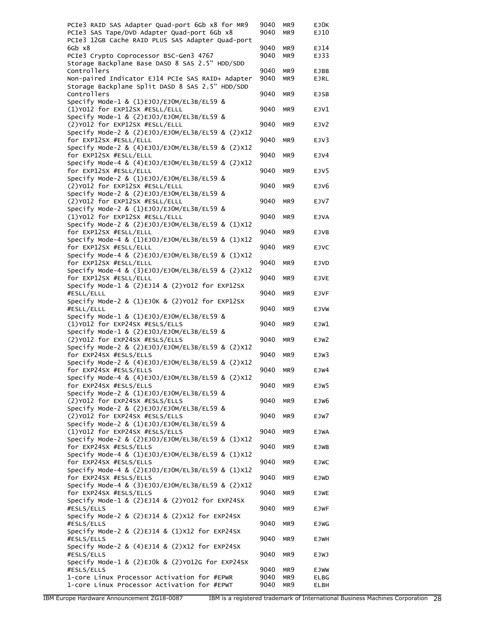| PCIe3 RAID SAS Adapter Quad-port 6Gb x8 for MR9                                                 | 9040 | MR9             | EJ0K        |
|-------------------------------------------------------------------------------------------------|------|-----------------|-------------|
| PCIe3 SAS Tape/DVD Adapter Quad-port 6Gb x8<br>PCIe3 12GB Cache RAID PLUS SAS Adapter Quad-port | 9040 | MR9             | EJ10        |
| 6Gb x8                                                                                          | 9040 | MR <sub>9</sub> | EJ14        |
| PCIe3 Crypto Coprocessor BSC-Gen3 4767                                                          | 9040 | MR9             | EJ33        |
| Storage Backplane Base DASD 8 SAS 2.5" HDD/SDD<br>Controllers                                   | 9040 | MR9             | <b>EJBB</b> |
| Non-paired Indicator EJ14 PCIe SAS RAID+ Adapter                                                | 9040 | MR9             | <b>EJRL</b> |
| Storage Backplane Split DASD 8 SAS 2.5" HDD/SDD                                                 |      |                 |             |
| Controllers<br>Specify Mode-1 & (1)EJ0J/EJOM/EL3B/EL59 &                                        | 9040 | MR9             | <b>EJSB</b> |
| (1)Y012 for EXP12SX #ESLL/ELLL                                                                  | 9040 | MR <sub>9</sub> | EJV1        |
| Specify Mode-1 & (2)EJ0J/EJOM/EL3B/EL59 &                                                       |      |                 |             |
| (2)Y012 for EXP12SX #ESLL/ELLL                                                                  | 9040 | MR9             | EJV2        |
| Specify Mode-2 & (2)EJ0J/EJ0M/EL3B/EL59 & (2)X12<br>for EXP12SX #ESLL/ELLL                      | 9040 | MR9             | EJV3        |
| Specify Mode-2 & (4)EJ0J/EJ0M/EL3B/EL59 & (2)X12                                                |      |                 |             |
| for EXP12SX #ESLL/ELLL                                                                          | 9040 | MR <sub>9</sub> | EJV4        |
| Specify Mode-4 & (4)EJ0J/EJOM/EL3B/EL59 & (2)X12<br>for EXP12SX #ESLL/ELLL                      | 9040 | MR <sub>9</sub> | EJV5        |
| Specify Mode-2 & (1)EJ0J/EJOM/EL3B/EL59 &                                                       |      |                 |             |
| (2) Y012 for EXP12SX #ESLL/ELLL                                                                 | 9040 | MR <sub>9</sub> | EJV6        |
| Specify Mode-2 & (2)EJ0J/EJOM/EL3B/EL59 &                                                       |      |                 |             |
| (2) Y012 for EXP12SX #ESLL/ELLL<br>Specify Mode-2 & (1)EJ0J/EJOM/EL3B/EL59 &                    | 9040 | MR <sub>9</sub> | EJV7        |
| (1)Y012 for EXP12SX #ESLL/ELLL                                                                  | 9040 | MR9             | <b>EJVA</b> |
| Specify Mode-2 & (2)EJ0J/EJOM/EL3B/EL59 & (1)X12                                                |      |                 |             |
| for EXP12SX #ESLL/ELLL                                                                          | 9040 | MR <sub>9</sub> | EJVB        |
| Specify Mode-4 & (1)EJ0J/EJOM/EL3B/EL59 & (1)X12<br>for EXP12SX #ESLL/ELLL                      | 9040 | MR <sub>9</sub> | <b>EJVC</b> |
| Specify Mode-4 & (2)EJ0J/EJ0M/EL3B/EL59 & (1)X12                                                |      |                 |             |
| for EXP12SX #ESLL/ELLL                                                                          | 9040 | MR9             | <b>EJVD</b> |
| Specify Mode-4 & (3)EJ0J/EJ0M/EL3B/EL59 & (2)X12                                                |      |                 |             |
| for EXP12SX #ESLL/ELLL<br>Specify Mode-1 & (2)EJ14 & (2)YO12 for EXP12SX                        | 9040 | MR <sub>9</sub> | <b>EJVE</b> |
| #ESLL/ELLL                                                                                      | 9040 | MR9             | <b>EJVF</b> |
| Specify Mode-2 & (1)EJOK & (2)YO12 for EXP12SX                                                  |      |                 |             |
| #ESLL/ELLL<br>Specify Mode-1 & (1)EJ0J/EJ0M/EL3B/EL59 &                                         | 9040 | MR <sub>9</sub> | <b>EJVW</b> |
| (1)Y012 for EXP24SX #ESLS/ELLS                                                                  | 9040 | MR <sub>9</sub> | EJW1        |
| Specify Mode-1 & (2)EJ0J/EJ0M/EL3B/EL59 &                                                       |      |                 |             |
| (2)Y012 for EXP24SX #ESLS/ELLS<br>Specify Mode-2 & (2)EJ0J/EJ0M/EL3B/EL59 & (2)X12              | 9040 | MR <sub>9</sub> | EJW2        |
| for EXP24SX #ESLS/ELLS                                                                          | 9040 | MR9             | EJW3        |
| Specify Mode-2 & (4)EJ0J/EJOM/EL3B/EL59 & (2)X12                                                |      |                 |             |
| for EXP24SX #ESLS/ELLS                                                                          | 9040 | MR9             | EJW4        |
| Specify Mode-4 & (4)EJ0J/EJOM/EL3B/EL59 & (2)X12<br>for EXP24SX #ESLS/ELLS                      | 9040 | MR9             | EJW5        |
| Specify Mode-2 & (1)EJ0J/EJOM/EL3B/EL59 &                                                       |      |                 |             |
| (2) Y012 for EXP24SX #ESLS/ELLS                                                                 | 9040 | MR <sub>9</sub> | EJW6        |
| Specify Mode-2 & (2)EJ0J/EJ0M/EL3B/EL59 &<br>(2)Y012 for EXP24SX #ESLS/ELLS                     |      |                 |             |
| Specify Mode-2 & (1)EJ0J/EJOM/EL3B/EL59 &                                                       | 9040 | MR9             | EJW7        |
| (1)Y012 for EXP24SX #ESLS/ELLS                                                                  | 9040 | MR9             | <b>EJWA</b> |
| Specify Mode-2 & (2)EJ0J/EJOM/EL3B/EL59 & (1)X12                                                |      |                 |             |
| for EXP24SX #ESLS/ELLS<br>Specify Mode-4 & (1)EJ0J/EJOM/EL3B/EL59 & (1)X12                      | 9040 | MR9             | EJWB        |
| for EXP24SX #ESLS/ELLS                                                                          | 9040 | MR9             | <b>EJWC</b> |
| Specify Mode-4 & (2)EJ0J/EJOM/EL3B/EL59 & (1)X12                                                |      |                 |             |
| for EXP24SX #ESLS/ELLS                                                                          | 9040 | MR9             | <b>EJWD</b> |
| Specify Mode-4 & (3)EJ0J/EJ0M/EL3B/EL59 & (2)X12<br>for EXP24SX #ESLS/ELLS                      | 9040 | MR9             | <b>EJWE</b> |
| Specify Mode-1 & (2)EJ14 & (2)YO12 for EXP24SX                                                  |      |                 |             |
| #ESLS/ELLS                                                                                      | 9040 | MR9             | <b>EJWF</b> |
| Specify Mode-2 & (2)EJ14 & (2)X12 for EXP24SX<br>#ESLS/ELLS                                     | 9040 | MR9             | <b>EJWG</b> |
| Specify Mode-2 & (2)EJ14 & (1)X12 for EXP24SX                                                   |      |                 |             |
| #ESLS/ELLS                                                                                      | 9040 | MR9             | <b>EJWH</b> |
| Specify Mode-2 & $(4)EJ14$ & $(2)X12$ for EXP24SX                                               |      |                 |             |
| #ESLS/ELLS<br>Specify Mode-1 & (2)EJOk & (2)YO12G for EXP24SX                                   | 9040 | MR9             | <b>EJWJ</b> |
| #ESLS/ELLS                                                                                      | 9040 | MR9             | EJWW        |
| 1-core Linux Processor Activation for #EPWR                                                     | 9040 | MR9             | <b>ELBG</b> |
| 1-core Linux Processor Activation for #EPWT                                                     | 9040 | MR9             | <b>ELBH</b> |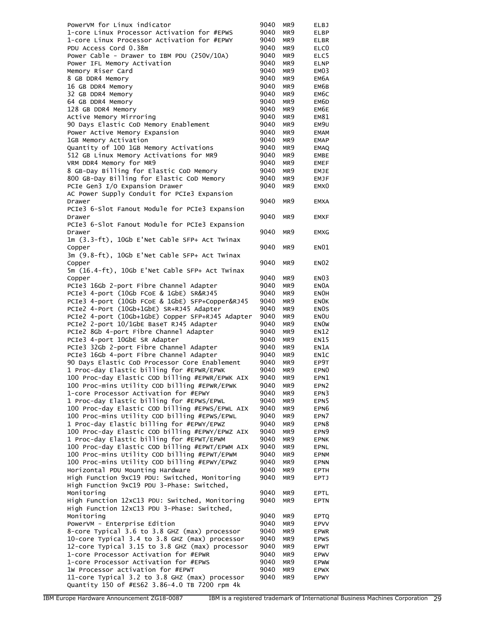| PowerVM for Linux indicator                                                                  | 9040         | MR9             | <b>ELBJ</b>               |
|----------------------------------------------------------------------------------------------|--------------|-----------------|---------------------------|
| 1-core Linux Processor Activation for #EPWS                                                  | 9040         | MR9             | <b>ELBP</b>               |
| 1-core Linux Processor Activation for #EPWY                                                  | 9040         | MR9             | ELBR                      |
| PDU Access Cord 0.38m                                                                        | 9040         | MR9             | ELC <sub>0</sub>          |
| Power Cable - Drawer to IBM PDU (250V/10A)                                                   | 9040         | MR9             | ELC5                      |
| Power IFL Memory Activation                                                                  | 9040         | MR9             | <b>ELNP</b>               |
| Memory Riser Card                                                                            | 9040         | MR9             | EMO3                      |
| 8 GB DDR4 Memory                                                                             | 9040         | MR9             | EM6A                      |
| 16 GB DDR4 Memory                                                                            | 9040         | MR9             | EM6B                      |
| 32 GB DDR4 Memory                                                                            | 9040         | MR9             | EM6C                      |
| 64 GB DDR4 Memory                                                                            | 9040         | MR9             | EM6D                      |
| 128 GB DDR4 Memory<br>Active Memory Mirroring                                                | 9040<br>9040 | MR9             | EM6E                      |
| 90 Days Elastic CoD Memory Enablement                                                        | 9040         | MR9<br>MR9      | EM81<br>EM9U              |
| Power Active Memory Expansion                                                                | 9040         | MR9             | EMAM                      |
| 1GB Memory Activation                                                                        | 9040         | MR9             | <b>EMAP</b>               |
| Quantity of 100 1GB Memory Activations                                                       | 9040         | MR9             | EMAQ                      |
| 512 GB Linux Memory Activations for MR9                                                      | 9040         | MR9             | EMBE                      |
| VRM DDR4 Memory for MR9                                                                      | 9040         | MR9             | EMEF                      |
| 8 GB-Day Billing for Elastic CoD Memory                                                      | 9040         | MR9             | EMJE                      |
| 800 GB-Day Billing for Elastic CoD Memory                                                    | 9040         | MR <sub>9</sub> | EMJF                      |
| PCIe Gen3 I/O Expansion Drawer                                                               | 9040         | MR <sub>9</sub> | EMX <sub>0</sub>          |
| AC Power Supply Conduit for PCIe3 Expansion                                                  |              |                 |                           |
| Drawer                                                                                       | 9040         | MR9             | <b>EMXA</b>               |
| PCIe3 6-Slot Fanout Module for PCIe3 Expansion                                               |              |                 |                           |
| Drawer                                                                                       | 9040         | MR <sub>9</sub> | <b>EMXF</b>               |
| PCIe3 6-Slot Fanout Module for PCIe3 Expansion                                               |              |                 |                           |
| Drawer                                                                                       | 9040         | MR <sub>9</sub> | <b>EMXG</b>               |
| 1m (3.3-ft), 10Gb E'Net Cable SFP+ Act Twinax                                                |              |                 |                           |
| Copper                                                                                       | 9040         | MR9             | EN01                      |
| 3m (9.8-ft), 10Gb E'Net Cable SFP+ Act Twinax                                                |              |                 |                           |
| Copper                                                                                       | 9040         | MR9             | <b>EN02</b>               |
| 5m (16.4-ft), 10Gb E'Net Cable SFP+ Act Twinax                                               |              |                 |                           |
| Copper                                                                                       | 9040         | MR9             | EN <sub>03</sub>          |
| PCIe3 16Gb 2-port Fibre Channel Adapter                                                      | 9040         | MR9             | EN0A                      |
| PCIe3 4-port (10Gb FCoE & 1GbE) SR&RJ45<br>PCIe3 4-port (10Gb FCoE & 1GbE) SFP+Copper&RJ45   | 9040<br>9040 | MR9             | <b>ENOH</b>               |
| PCIe2 4-Port (10Gb+1GbE) SR+RJ45 Adapter                                                     | 9040         | MR9<br>MR9      | ENOK<br>EN <sub>O</sub> S |
| PCIe2 4-port (10Gb+1GbE) Copper SFP+RJ45 Adapter                                             | 9040         | MR9             | ENOU                      |
| PCIe2 2-port 10/1GbE BaseT RJ45 Adapter                                                      | 9040         | MR9             | <b>ENOW</b>               |
| PCIe2 8Gb 4-port Fibre Channel Adapter                                                       | 9040         | MR9             | <b>EN12</b>               |
| PCIe3 4-port 10GbE SR Adapter                                                                | 9040         | MR9             | EN15                      |
| PCIe3 32Gb 2-port Fibre Channel Adapter                                                      | 9040         | MR9             | EN1A                      |
| PCIe3 16Gb 4-port Fibre Channel Adapter                                                      | 9040         | MR9             | EN1C                      |
| 90 Days Elastic CoD Processor Core Enablement                                                | 9040         | MR9             | EP9T                      |
| 1 Proc-day Elastic billing for #EPWR/EPWK                                                    | 9040         | MR <sub>9</sub> | EPN <sub>0</sub>          |
| 100 Proc-day Elastic COD billing #EPWR/EPWK AIX                                              | 9040         | MR9             | EPN1                      |
| 100 Proc-mins Utility COD billing #EPWR/EPWK                                                 | 9040         | MR <sub>9</sub> | EPN <sub>2</sub>          |
| 1-core Processor Activation for #EPWY                                                        | 9040         | MR9             | EPN3                      |
| 1 Proc-day Elastic billing for #EPWS/EPWL                                                    | 9040         | MR9             | EPN <sub>5</sub>          |
| 100 Proc-day Elastic COD billing #EPWS/EPWL AIX                                              | 9040         | MR9             | EPN <sub>6</sub>          |
| 100 Proc-mins Utility COD billing #EPWS/EPWL                                                 | 9040         | MR9             | EPN7                      |
| 1 Proc-day Elastic billing for #EPWY/EPWZ                                                    | 9040         | MR9             | EPN8                      |
| 100 Proc-day Elastic COD billing #EPWY/EPWZ AIX                                              | 9040         | MR <sub>9</sub> | EPN9                      |
| 1 Proc-day Elastic billing for #EPWT/EPWM                                                    | 9040         | MR9             | <b>EPNK</b>               |
| 100 Proc-day Elastic COD billing #EPWT/EPWM AIX                                              | 9040         | MR <sub>9</sub> | <b>EPNL</b>               |
| 100 Proc-mins Utility COD billing #EPWT/EPWM<br>100 Proc-mins Utility COD billing #EPWY/EPWZ | 9040         | MR9             | <b>EPNM</b>               |
| Horizontal PDU Mounting Hardware                                                             | 9040<br>9040 | MR9<br>MR9      | EPNN<br><b>EPTH</b>       |
| High Function 9xC19 PDU: Switched, Monitoring                                                | 9040         | MR9             | EPTJ                      |
| High Function 9xC19 PDU 3-Phase: Switched,                                                   |              |                 |                           |
| Monitoring                                                                                   | 9040         | MR9             | EPTL                      |
| High Function 12xC13 PDU: Switched, Monitoring                                               | 9040         | MR9             | <b>EPTN</b>               |
| High Function 12xC13 PDU 3-Phase: Switched,                                                  |              |                 |                           |
| Monitoring                                                                                   | 9040         | MR9             | <b>EPTQ</b>               |
| PowerVM - Enterprise Edition                                                                 | 9040         | MR9             | <b>EPVV</b>               |
| 8-core Typical 3.6 to 3.8 GHZ (max) processor                                                | 9040         | MR9             | <b>EPWR</b>               |
| 10-core Typical 3.4 to 3.8 GHZ (max) processor                                               | 9040         | MR9             | <b>EPWS</b>               |
| 12-core Typical 3.15 to 3.8 GHZ (max) processor                                              | 9040         | MR <sub>9</sub> | <b>EPWT</b>               |
| 1-core Processor Activation for #EPWR                                                        | 9040         | MR9             | <b>EPWV</b>               |
| 1-core Processor Activation for #EPWS                                                        | 9040         | MR9             | <b>EPWW</b>               |
| 1W Processor activation for #EPWT                                                            | 9040         | MR9             | <b>EPWX</b>               |
| 11-core Typical 3.2 to 3.8 GHZ (max) processor                                               | 9040         | MR9             | <b>EPWY</b>               |
| Quantity 150 of #ES62 3.86-4.0 TB 7200 rpm 4k                                                |              |                 |                           |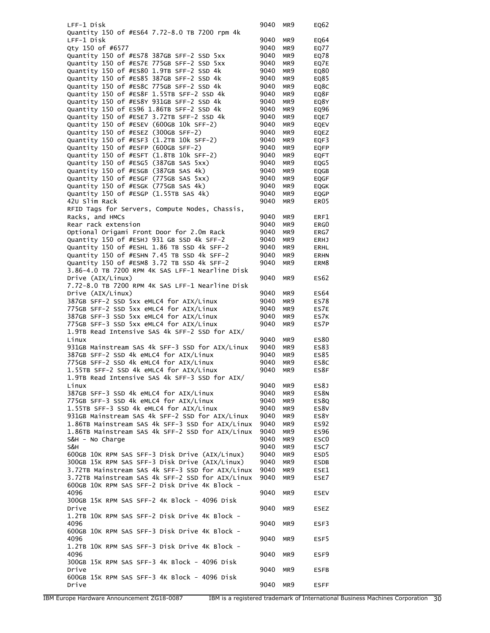| LFF-1 Disk                                                                            | 9040         | MR9             | EQ62             |
|---------------------------------------------------------------------------------------|--------------|-----------------|------------------|
| Quantity 150 of #ES64 7.72-8.0 TB 7200 rpm 4k                                         |              |                 |                  |
| LFF-1 Disk                                                                            | 9040         | MR9             | EQ64             |
| Otv 150 of #6577                                                                      | 9040         | MR9             | EQ77             |
| Quantity 150 of #ES78 387GB SFF-2 SSD 5xx                                             | 9040         | MR9             | EQ78             |
| Quantity 150 of #ES7E 775GB SFF-2 SSD 5xx                                             | 9040         | MR9             | EQ7E             |
| Quantity 150 of #ES80 1.9TB SFF-2 SSD 4k                                              | 9040         | MR9             | EQ80             |
| Quantity 150 of #ES85 387GB SFF-2 SSD 4k                                              | 9040         | MR9             | EQ85             |
| Quantity 150 of #ES8C 775GB SFF-2 SSD 4k                                              | 9040         | MR9             | EQ8C             |
| Quantity 150 of #ES8F 1.55TB SFF-2 SSD 4k<br>Quantity 150 of #ES8Y 931GB SFF-2 SSD 4k | 9040<br>9040 | MR9             | EQ8F             |
| Quantity 150 of ES96 1.86TB SFF-2 SSD 4k                                              | 9040         | MR9<br>MR9      | EQ8Y<br>EQ96     |
| Quantity 150 of #ESE7 3.72TB SFF-2 SSD 4k                                             | 9040         | MR9             | EQE7             |
| Quantity 150 of #ESEV (600GB 10k SFF-2)                                               | 9040         | MR9             | EQEV             |
| Quantity 150 of #ESEZ (300GB SFF-2)                                                   | 9040         | MR9             | EQEZ             |
| Quantity 150 of #ESF3 (1.2TB 10k SFF-2)                                               | 9040         | MR9             | EQF3             |
| Quantity 150 of #ESFP (600GB SFF-2)                                                   | 9040         | MR9             | <b>EQFP</b>      |
| Quantity 150 of #ESFT (1.8TB 10k SFF-2)                                               | 9040         | MR9             | <b>EQFT</b>      |
| Quantity 150 of #ESG5 (387GB SAS 5xx)                                                 | 9040         | MR9             | EQG5             |
| Quantity 150 of #ESGB (387GB SAS 4k)                                                  | 9040         | MR9             | EQGB             |
| Quantity 150 of #ESGF (775GB SAS 5xx)                                                 | 9040         | MR9             | <b>EQGF</b>      |
| Quantity 150 of #ESGK (775GB SAS 4k)                                                  | 9040         | MR9             | <b>EQGK</b>      |
| Quantity 150 of #ESGP (1.55TB SAS 4k)                                                 | 9040         | MR9             | EQGP             |
| 42∪ Slim Rack                                                                         | 9040         | MR <sub>9</sub> | ER <sub>05</sub> |
| RFID Tags for Servers, Compute Nodes, Chassis,                                        |              |                 |                  |
| Racks, and HMCs                                                                       | 9040         | MR9             | ERF1             |
| Rear rack extension                                                                   | 9040         | MR9             | ERG0             |
| Optional Origami Front Door for 2.0m Rack                                             | 9040         | MR9             | ERG7             |
| Quantity 150 of #ESHJ 931 GB SSD 4k SFF-2                                             | 9040         | MR9             | <b>ERHJ</b>      |
| Quantity 150 of #ESHL 1.86 TB SSD 4k SFF-2                                            | 9040         | MR9             | ERHL             |
| Quantity 150 of #ESHN 7.45 TB SSD 4k SFF-2                                            | 9040         | MR9             | <b>ERHN</b>      |
| Quantity 150 of #ESM8 3.72 TB SSD 4k SFF-2                                            | 9040         | MR <sub>9</sub> | ERM8             |
| 3.86-4.0 TB 7200 RPM 4K SAS LFF-1 Nearline Disk                                       |              |                 |                  |
| Drive (AIX/Linux)                                                                     | 9040         | MR9             | ES62             |
| 7.72-8.0 TB 7200 RPM 4K SAS LFF-1 Nearline Disk                                       |              |                 |                  |
| Drive (AIX/Linux)                                                                     | 9040         | MR9             | ES64             |
| 387GB SFF-2 SSD 5xx eMLC4 for AIX/Linux                                               | 9040         | MR9             | <b>ES78</b>      |
| 775GB SFF-2 SSD 5xx eMLC4 for AIX/Linux<br>387GB SFF-3 SSD 5xx eMLC4 for AIX/Linux    | 9040<br>9040 | MR9<br>MR9      | ES7E             |
| 775GB SFF-3 SSD 5xx eMLC4 for AIX/Linux                                               | 9040         | MR9             | ES7K<br>ES7P     |
| 1.9TB Read Intensive SAS 4k SFF-2 SSD for AIX/                                        |              |                 |                  |
| Linux                                                                                 | 9040         | MR9             | ES80             |
| 931GB Mainstream SAS 4k SFF-3 SSD for AIX/Linux                                       | 9040         | MR9             | ES83             |
| 387GB SFF-2 SSD 4k eMLC4 for AIX/Linux                                                | 9040         | MR9             | ES85             |
| 775GB SFF-2 SSD 4k eMLC4 for AIX/Linux                                                | 9040         | MR9             | ES8C             |
| 1.55TB SFF-2 SSD 4k eMLC4 for AIX/Linux                                               | 9040         | MR9             | ES8F             |
| 1.9TB Read Intensive SAS 4k SFF-3 SSD for AIX/                                        |              |                 |                  |
| Linux                                                                                 | 9040         | MR9             | ES8J             |
| 387GB SFF-3 SSD 4k eMLC4 for AIX/Linux                                                | 9040         | MR9             | ES8N             |
| 775GB SFF-3 SSD 4k eMLC4 for AIX/Linux                                                | 9040         | MR9             | ES8Q             |
| 1.55TB SFF-3 SSD 4k eMLC4 for AIX/Linux                                               | 9040         | MR9             | ES8V             |
| 931GB Mainstream SAS 4k SFF-2 SSD for AIX/Linux                                       | 9040         | MR9             | ES8Y             |
| 1.86TB Mainstream SAS 4k SFF-3 SSD for AIX/Linux                                      | 9040         | MR9             | <b>ES92</b>      |
| 1.86TB Mainstream SAS 4k SFF-2 SSD for AIX/Linux                                      | 9040         | MR9             | <b>ES96</b>      |
| S&H - No Charge                                                                       | 9040         | MR9             | ESC <sub>0</sub> |
| S&H                                                                                   | 9040         | MR9             | ESC7             |
| 600GB 10K RPM SAS SFF-3 Disk Drive (AIX/Linux)                                        | 9040         | MR9             | ESD <sub>5</sub> |
| 300GB 15K RPM SAS SFF-3 Disk Drive (AIX/Linux)                                        | 9040         | MR9             | ESDB             |
| 3.72TB Mainstream SAS 4k SFF-3 SSD for AIX/Linux                                      | 9040         | MR9             | ESE1             |
| 3.72TB Mainstream SAS 4k SFF-2 SSD for AIX/Linux                                      | 9040         | MR9             | ESE7             |
| 600GB 10K RPM SAS SFF-2 Disk Drive 4K Block -                                         |              |                 |                  |
| 4096<br>300GB 15K RPM SAS SFF-2 4K Block - 4096 Disk                                  | 9040         | MR9             | <b>ESEV</b>      |
| Drive                                                                                 | 9040         | MR9             | <b>ESEZ</b>      |
| 1.2TB 10K RPM SAS SFF-2 Disk Drive 4K Block -                                         |              |                 |                  |
|                                                                                       |              |                 | ESF3             |
|                                                                                       |              |                 |                  |
| 4096                                                                                  | 9040         | MR9             |                  |
| 600GB 10K RPM SAS SFF-3 Disk Drive 4K Block -                                         |              |                 |                  |
| 4096                                                                                  | 9040         | MR9             | ESF5             |
| 1.2TB 10K RPM SAS SFF-3 Disk Drive 4K Block -                                         |              |                 |                  |
| 4096                                                                                  | 9040         | MR9             | ESF9             |
| 300GB 15K RPM SAS SFF-3 4K Block - 4096 Disk<br>Drive                                 | 9040         | MR9             | <b>ESFB</b>      |
| 600GB 15K RPM SAS SFF-3 4K Block - 4096 Disk                                          |              |                 |                  |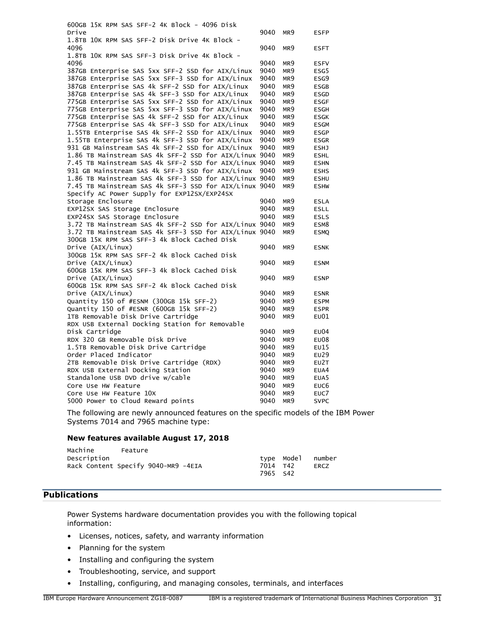600GB 15K RPM SAS SFF-2 4K Block - 4096 Disk Drive 9040 MR9 ESFP 1.8TB 10K RPM SAS SFF-2 Disk Drive 4K Block - 4096 9040 MR9 ESFT 1.8TB 10K RPM SAS SFF-3 Disk Drive 4K Block - 4096 9040 MR9 ESFV 387GB Enterprise SAS 5xx SFF-2 SSD for AIX/Linux 9040 MR9 ESG5 387GB Enterprise SAS 5xx SFF-3 SSD for AIX/Linux 9040 MR9 ESG9 387GB Enterprise SAS 4k SFF-2 SSD for AIX/Linux 9040 MR9 ESGB 387GB Enterprise SAS 4k SFF-3 SSD for AIX/Linux 9040 MR9 ESGD 775GB Enterprise SAS 5xx SFF-2 SSD for AIX/Linux 9040 MR9 ESGF 775GB Enterprise SAS 5xx SFF-3 SSD for AIX/Linux 9040 MR9 ESGH 775GB Enterprise SAS 4k SFF-2 SSD for AIX/Linux 9040 MR9 ESGK 775GB Enterprise SAS 4k SFF-3 SSD for AIX/Linux 9040 MR9 ESGM 1.55TB Enterprise SAS 4k SFF-2 SSD for AIX/Linux 9040 MR9 ESGP 1.55TB Enterprise SAS 4k SFF-3 SSD for AIX/Linux 9040 MR9 ESGR 931 GB Mainstream SAS 4k SFF-2 SSD for AIX/Linux 9040 MR9 ESHJ 1.86 TB Mainstream SAS 4k SFF-2 SSD for AIX/Linux 9040 MR9 ESHL 7.45 TB Mainstream SAS 4k SFF-2 SSD for AIX/Linux 9040 MR9 ESHN 931 GB Mainstream SAS 4k SFF-3 SSD for AIX/Linux 9040 MR9 ESHS 1.86 TB Mainstream SAS 4k SFF-3 SSD for AIX/Linux 9040 MR9 ESHU 7.45 TB Mainstream SAS 4k SFF-3 SSD for AIX/Linux 9040 MR9 ESHW Specify AC Power Supply for EXP12SX/EXP24SX Storage Enclosure 60 and 100 and 100 and 100 and 100 and 100 and 100 and 100 and 100 and 100 and 100 and 100 and 100 and 100 and 100 and 100 and 100 and 100 and 100 and 100 and 100 and 100 and 100 and 100 and 100 and 100 a EXP12SX SAS Storage Enclosure 19040 MR9 ESLL EXP24SX SAS Storage Enclosure 9040 MR9 ESLS 3.72 TB Mainstream SAS 4k SFF-2 SSD for AIX/Linux 9040 MR9 ESM8 3.72 TB Mainstream SAS 4k SFF-3 SSD for AIX/Linux 9040 MR9 ESMQ 300GB 15K RPM SAS SFF-3 4k Block Cached Disk Drive (AIX/Linux) 9040 MR9 ESNK 300GB 15K RPM SAS SFF-2 4k Block Cached Disk Drive (AIX/Linux) 3040 MR9 ESNM 600GB 15K RPM SAS SFF-3 4k Block Cached Disk Drive (AIX/Linux) 9040 MR9 ESNP 600GB 15K RPM SAS SFF-2 4k Block Cached Disk Drive (AIX/Linux) 9040 MR9 ESNR Quantity 150 of #ESNM (300GB 15k SFF-2) 9040 MR9 ESPM<br>Ouantity 150 of #ESNR (600GB 15k SFF-2) 9040 MR9 ESPR Quantity 150 of #ESNR (600GB 15k SFF-2) 9040 MR9 ESPR 1TB Removable Disk Drive Cartridge 9040 MR9 EU01 RDX USB External Docking Station for Removable Disk Cartridge 9040 MR9 EU04 RDX 320 GB Removable Disk Drive 9040 MR9 EU08 1.5TB Removable Disk Drive Cartridge 9040 MR9 EU15 Order Placed Indicator 9040 MR9 EU29 2TB Removable Disk Drive Cartridge (RDX) 9040 MR9 EU2T RDX USB External Docking Station 60 0040 MR9 EUA4 Standalone USB DVD drive w/cable 9040 MR9 EUA5 Core Use HW Feature 2001 12 2006 12:00 12:00 12:00 12:00 12:00 12:00 12:00 12:00 12:00 12:00 12:00 12:00 12:00 Core Use HW Feature 10X and the core of the May 2040 MR9 euc7 5000 Power to Cloud Reward points 9040 MR9 SVPC

The following are newly announced features on the specific models of the IBM Power Systems 7014 and 7965 machine type:

#### **New features available August 17, 2018**

| Machine     | Feature                             |          |            |        |
|-------------|-------------------------------------|----------|------------|--------|
| Description |                                     |          | tvpe Model | number |
|             | Rack Content Specify 9040-MR9 -4EIA | 7014 T42 |            | ERCZ   |
|             |                                     | 7965 S42 |            |        |

#### <span id="page-30-0"></span>**Publications**

Power Systems hardware documentation provides you with the following topical information:

- Licenses, notices, safety, and warranty information
- Planning for the system
- Installing and configuring the system
- Troubleshooting, service, and support
- Installing, configuring, and managing consoles, terminals, and interfaces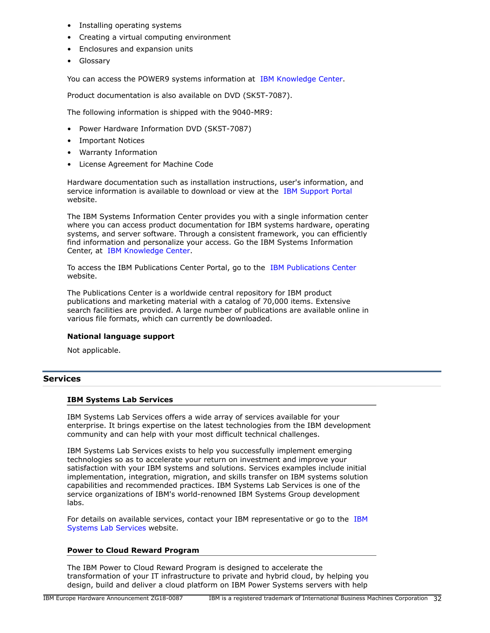- Installing operating systems
- Creating a virtual computing environment
- Enclosures and expansion units
- Glossary

You can access the POWER9 systems information at [IBM Knowledge Center](http://www.ibm.com/support/knowledgecenter/POWER8).

Product documentation is also available on DVD (SK5T-7087).

The following information is shipped with the 9040-MR9:

- Power Hardware Information DVD (SK5T-7087)
- Important Notices
- Warranty Information
- License Agreement for Machine Code

Hardware documentation such as installation instructions, user's information, and service information is available to download or view at the [IBM Support Portal](http://www.ibm.com/support) website.

The IBM Systems Information Center provides you with a single information center where you can access product documentation for IBM systems hardware, operating systems, and server software. Through a consistent framework, you can efficiently find information and personalize your access. Go the IBM Systems Information Center, at [IBM Knowledge Center.](http://www.ibm.com/support/knowledgecenter/)

To access the IBM Publications Center Portal, go to the [IBM Publications Center](http://www.ibm.com/shop/publications/order) website.

The Publications Center is a worldwide central repository for IBM product publications and marketing material with a catalog of 70,000 items. Extensive search facilities are provided. A large number of publications are available online in various file formats, which can currently be downloaded.

#### **National language support**

Not applicable.

#### **Services**

#### **IBM Systems Lab Services**

IBM Systems Lab Services offers a wide array of services available for your enterprise. It brings expertise on the latest technologies from the IBM development community and can help with your most difficult technical challenges.

IBM Systems Lab Services exists to help you successfully implement emerging technologies so as to accelerate your return on investment and improve your satisfaction with your IBM systems and solutions. Services examples include initial implementation, integration, migration, and skills transfer on IBM systems solution capabilities and recommended practices. IBM Systems Lab Services is one of the service organizations of IBM's world-renowned IBM Systems Group development labs.

For details on available services, contact your IBM representative or go to the [IBM](https://www.ibm.com/it-infrastructure/services/lab-services) [Systems Lab Services](https://www.ibm.com/it-infrastructure/services/lab-services) website.

#### **Power to Cloud Reward Program**

The IBM Power to Cloud Reward Program is designed to accelerate the transformation of your IT infrastructure to private and hybrid cloud, by helping you design, build and deliver a cloud platform on IBM Power Systems servers with help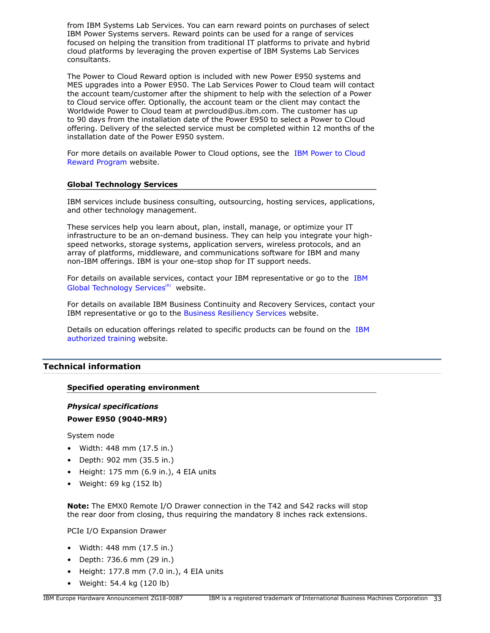from IBM Systems Lab Services. You can earn reward points on purchases of select IBM Power Systems servers. Reward points can be used for a range of services focused on helping the transition from traditional IT platforms to private and hybrid cloud platforms by leveraging the proven expertise of IBM Systems Lab Services consultants.

The Power to Cloud Reward option is included with new Power E950 systems and MES upgrades into a Power E950. The Lab Services Power to Cloud team will contact the account team/customer after the shipment to help with the selection of a Power to Cloud service offer. Optionally, the account team or the client may contact the Worldwide Power to Cloud team at pwrcloud@us.ibm.com. The customer has up to 90 days from the installation date of the Power E950 to select a Power to Cloud offering. Delivery of the selected service must be completed within 12 months of the installation date of the Power E950 system.

For more details on available Power to Cloud options, see the [IBM Power to Cloud](https://www.ibm.com/it-infrastructure/power/resources/power-to-cloud) [Reward Program](https://www.ibm.com/it-infrastructure/power/resources/power-to-cloud) website.

# **Global Technology Services**

IBM services include business consulting, outsourcing, hosting services, applications, and other technology management.

These services help you learn about, plan, install, manage, or optimize your IT infrastructure to be an on-demand business. They can help you integrate your highspeed networks, storage systems, application servers, wireless protocols, and an array of platforms, middleware, and communications software for IBM and many non-IBM offerings. IBM is your one-stop shop for IT support needs.

For details on available services, contact your IBM representative or go to the [IBM](http://www.ibm.com/services/) [Global Technology Services](http://www.ibm.com/services/)<sup>(R)</sup> website.

For details on available IBM Business Continuity and Recovery Services, contact your IBM representative or go to the [Business Resiliency Services](http://www.ibm.com/services/continuity) website.

Details on education offerings related to specific products can be found on the [IBM](http://www.ibm.com/services/learning/ites.wss/zz/en?pageType=tp_search_new) [authorized training](http://www.ibm.com/services/learning/ites.wss/zz/en?pageType=tp_search_new) website.

# <span id="page-32-0"></span>**Technical information**

# **Specified operating environment**

# *Physical specifications*

# **Power E950 (9040-MR9)**

System node

- Width: 448 mm (17.5 in.)
- Depth: 902 mm (35.5 in.)
- $\bullet$  Height: 175 mm (6.9 in.), 4 EIA units
- Weight: 69 kg (152 lb)

**Note:** The EMX0 Remote I/O Drawer connection in the T42 and S42 racks will stop the rear door from closing, thus requiring the mandatory 8 inches rack extensions.

PCIe I/O Expansion Drawer

- Width: 448 mm (17.5 in.)
- Depth: 736.6 mm (29 in.)
- Height: 177.8 mm (7.0 in.), 4 EIA units
- Weight: 54.4 kg (120 lb)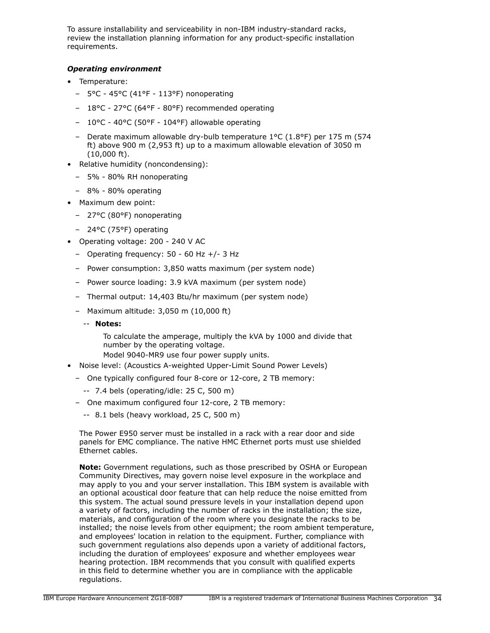To assure installability and serviceability in non-IBM industry-standard racks, review the installation planning information for any product-specific installation requirements.

# *Operating environment*

- Temperature:
	- 5°C 45°C (41°F 113°F) nonoperating
	- 18°C 27°C (64°F 80°F) recommended operating
	- 10°C 40°C (50°F 104°F) allowable operating
	- Derate maximum allowable dry-bulb temperature 1°C (1.8°F) per 175 m (574 ft) above 900 m (2,953 ft) up to a maximum allowable elevation of 3050 m (10,000 ft).
- Relative humidity (noncondensing):
	- 5% 80% RH nonoperating
	- 8% 80% operating
- Maximum dew point:
	- 27°C (80°F) nonoperating
	- 24°C (75°F) operating
- Operating voltage: 200 240 V AC
	- Operating frequency: 50 60 Hz +/- 3 Hz
	- Power consumption: 3,850 watts maximum (per system node)
	- Power source loading: 3.9 kVA maximum (per system node)
	- Thermal output: 14,403 Btu/hr maximum (per system node)
	- Maximum altitude: 3,050 m (10,000 ft)
		- -- **Notes:**

To calculate the amperage, multiply the kVA by 1000 and divide that number by the operating voltage.

Model 9040-MR9 use four power supply units.

- Noise level: (Acoustics A-weighted Upper-Limit Sound Power Levels)
- One typically configured four 8-core or 12-core, 2 TB memory:
	- -- 7.4 bels (operating/idle: 25 C, 500 m)
- One maximum configured four 12-core, 2 TB memory:
	- -- 8.1 bels (heavy workload, 25 C, 500 m)

The Power E950 server must be installed in a rack with a rear door and side panels for EMC compliance. The native HMC Ethernet ports must use shielded Ethernet cables.

**Note:** Government regulations, such as those prescribed by OSHA or European Community Directives, may govern noise level exposure in the workplace and may apply to you and your server installation. This IBM system is available with an optional acoustical door feature that can help reduce the noise emitted from this system. The actual sound pressure levels in your installation depend upon a variety of factors, including the number of racks in the installation; the size, materials, and configuration of the room where you designate the racks to be installed; the noise levels from other equipment; the room ambient temperature, and employees' location in relation to the equipment. Further, compliance with such government regulations also depends upon a variety of additional factors, including the duration of employees' exposure and whether employees wear hearing protection. IBM recommends that you consult with qualified experts in this field to determine whether you are in compliance with the applicable regulations.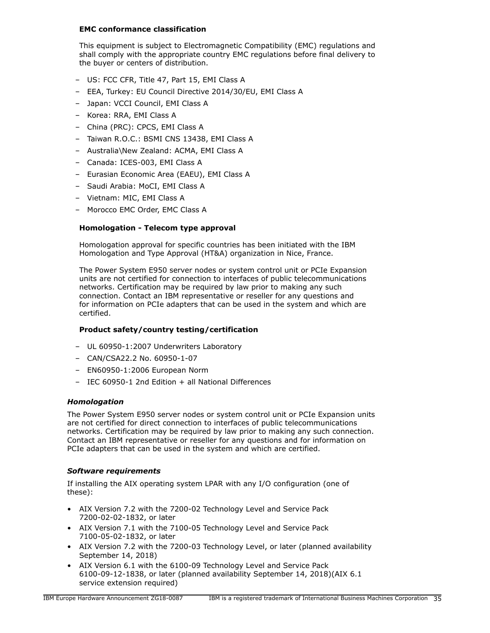# **EMC conformance classification**

This equipment is subject to Electromagnetic Compatibility (EMC) regulations and shall comply with the appropriate country EMC regulations before final delivery to the buyer or centers of distribution.

- US: FCC CFR, Title 47, Part 15, EMI Class A
- EEA, Turkey: EU Council Directive 2014/30/EU, EMI Class A
- Japan: VCCI Council, EMI Class A
- Korea: RRA, EMI Class A
- China (PRC): CPCS, EMI Class A
- Taiwan R.O.C.: BSMI CNS 13438, EMI Class A
- Australia\New Zealand: ACMA, EMI Class A
- Canada: ICES-003, EMI Class A
- Eurasian Economic Area (EAEU), EMI Class A
- Saudi Arabia: MoCI, EMI Class A
- Vietnam: MIC, EMI Class A
- Morocco EMC Order, EMC Class A

# **Homologation - Telecom type approval**

Homologation approval for specific countries has been initiated with the IBM Homologation and Type Approval (HT&A) organization in Nice, France.

The Power System E950 server nodes or system control unit or PCIe Expansion units are not certified for connection to interfaces of public telecommunications networks. Certification may be required by law prior to making any such connection. Contact an IBM representative or reseller for any questions and for information on PCIe adapters that can be used in the system and which are certified.

# **Product safety/country testing/certification**

- UL 60950-1:2007 Underwriters Laboratory
- CAN/CSA22.2 No. 60950-1-07
- EN60950-1:2006 European Norm
- IEC 60950-1 2nd Edition + all National Differences

# *Homologation*

The Power System E950 server nodes or system control unit or PCIe Expansion units are not certified for direct connection to interfaces of public telecommunications networks. Certification may be required by law prior to making any such connection. Contact an IBM representative or reseller for any questions and for information on PCIe adapters that can be used in the system and which are certified.

# <span id="page-34-0"></span>*Software requirements*

If installing the AIX operating system LPAR with any I/O configuration (one of these):

- AIX Version 7.2 with the 7200-02 Technology Level and Service Pack 7200-02-02-1832, or later
- AIX Version 7.1 with the 7100-05 Technology Level and Service Pack 7100-05-02-1832, or later
- AIX Version 7.2 with the 7200-03 Technology Level, or later (planned availability September 14, 2018)
- AIX Version 6.1 with the 6100-09 Technology Level and Service Pack 6100-09-12-1838, or later (planned availability September 14, 2018)(AIX 6.1 service extension required)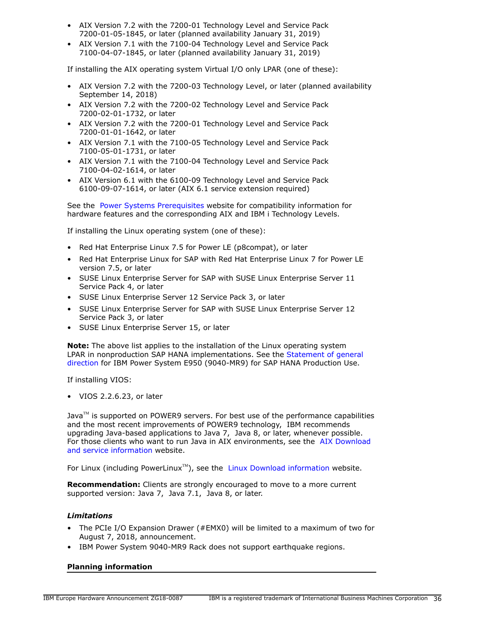- AIX Version 7.2 with the 7200-01 Technology Level and Service Pack 7200-01-05-1845, or later (planned availability January 31, 2019)
- AIX Version 7.1 with the 7100-04 Technology Level and Service Pack 7100-04-07-1845, or later (planned availability January 31, 2019)

If installing the AIX operating system Virtual I/O only LPAR (one of these):

- AIX Version 7.2 with the 7200-03 Technology Level, or later (planned availability September 14, 2018)
- AIX Version 7.2 with the 7200-02 Technology Level and Service Pack 7200-02-01-1732, or later
- AIX Version 7.2 with the 7200-01 Technology Level and Service Pack 7200-01-01-1642, or later
- AIX Version 7.1 with the 7100-05 Technology Level and Service Pack 7100-05-01-1731, or later
- AIX Version 7.1 with the 7100-04 Technology Level and Service Pack 7100-04-02-1614, or later
- AIX Version 6.1 with the 6100-09 Technology Level and Service Pack 6100-09-07-1614, or later (AIX 6.1 service extension required)

See the [Power Systems Prerequisites](https://www.ibm.com/support/customercare/iprt/home) website for compatibility information for hardware features and the corresponding AIX and IBM i Technology Levels.

If installing the Linux operating system (one of these):

- Red Hat Enterprise Linux 7.5 for Power LE (p8compat), or later
- Red Hat Enterprise Linux for SAP with Red Hat Enterprise Linux 7 for Power LE version 7.5, or later
- SUSE Linux Enterprise Server for SAP with SUSE Linux Enterprise Server 11 Service Pack 4, or later
- SUSE Linux Enterprise Server 12 Service Pack 3, or later
- SUSE Linux Enterprise Server for SAP with SUSE Linux Enterprise Server 12 Service Pack 3, or later
- SUSE Linux Enterprise Server 15, or later

**Note:** The above list applies to the installation of the Linux operating system LPAR in nonproduction SAP HANA implementations. See the [Statement of general](#page-22-0) [direction](#page-22-0) for IBM Power System E950 (9040-MR9) for SAP HANA Production Use.

If installing VIOS:

• VIOS 2.2.6.23, or later

Java $\mathbb{M}$  is supported on POWER9 servers. For best use of the performance capabilities and the most recent improvements of POWER9 technology, IBM recommends upgrading Java-based applications to Java 7, Java 8, or later, whenever possible. For those clients who want to run Java in AIX environments, see the [AIX Download](http://www.ibm.com/developerworks/java/jdk/aix/service.html) [and service information](http://www.ibm.com/developerworks/java/jdk/aix/service.html) website.

For Linux (including PowerLinux<sup>TM</sup>), see the [Linux Download information](http://www.ibm.com/developerworks/java/jdk/linux/download.html) website.

**Recommendation:** Clients are strongly encouraged to move to a more current supported version: Java 7, Java 7.1, Java 8, or later.

# *Limitations*

- The PCIe I/O Expansion Drawer (#EMX0) will be limited to a maximum of two for August 7, 2018, announcement.
- IBM Power System 9040-MR9 Rack does not support earthquake regions.

# **Planning information**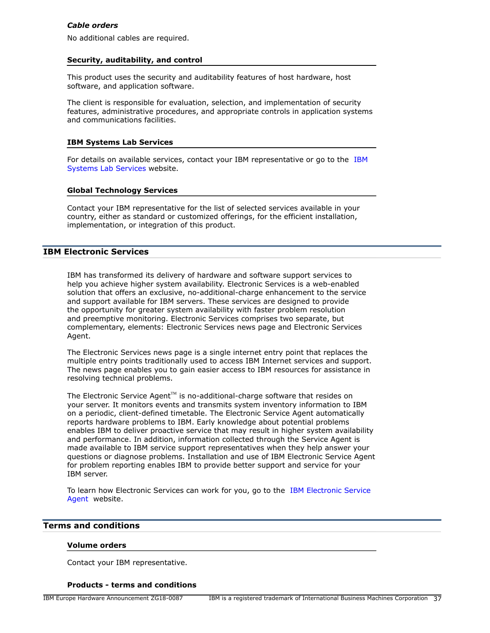# *Cable orders*

No additional cables are required.

#### **Security, auditability, and control**

This product uses the security and auditability features of host hardware, host software, and application software.

The client is responsible for evaluation, selection, and implementation of security features, administrative procedures, and appropriate controls in application systems and communications facilities.

#### **IBM Systems Lab Services**

For details on available services, contact your IBM representative or go to the [IBM](https://www.ibm.com/it-infrastructure/services/lab-services) [Systems Lab Services](https://www.ibm.com/it-infrastructure/services/lab-services) website.

#### **Global Technology Services**

Contact your IBM representative for the list of selected services available in your country, either as standard or customized offerings, for the efficient installation, implementation, or integration of this product.

#### **IBM Electronic Services**

IBM has transformed its delivery of hardware and software support services to help you achieve higher system availability. Electronic Services is a web-enabled solution that offers an exclusive, no-additional-charge enhancement to the service and support available for IBM servers. These services are designed to provide the opportunity for greater system availability with faster problem resolution and preemptive monitoring. Electronic Services comprises two separate, but complementary, elements: Electronic Services news page and Electronic Services Agent.

The Electronic Services news page is a single internet entry point that replaces the multiple entry points traditionally used to access IBM Internet services and support. The news page enables you to gain easier access to IBM resources for assistance in resolving technical problems.

The Electronic Service Agent<sup>™</sup> is no-additional-charge software that resides on your server. It monitors events and transmits system inventory information to IBM on a periodic, client-defined timetable. The Electronic Service Agent automatically reports hardware problems to IBM. Early knowledge about potential problems enables IBM to deliver proactive service that may result in higher system availability and performance. In addition, information collected through the Service Agent is made available to IBM service support representatives when they help answer your questions or diagnose problems. Installation and use of IBM Electronic Service Agent for problem reporting enables IBM to provide better support and service for your IBM server.

To learn how Electronic Services can work for you, go to the [IBM Electronic Service](http://www.ibm.com/support/esa) [Agent](http://www.ibm.com/support/esa) website.

## <span id="page-36-0"></span>**Terms and conditions**

#### **Volume orders**

Contact your IBM representative.

#### **Products - terms and conditions**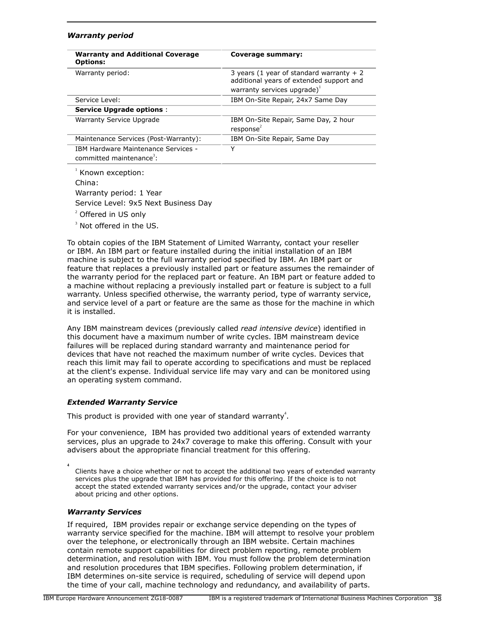#### *Warranty period*

| <b>Warranty and Additional Coverage</b><br><b>Options:</b>                  | Coverage summary:                                                                                                        |  |  |
|-----------------------------------------------------------------------------|--------------------------------------------------------------------------------------------------------------------------|--|--|
| Warranty period:                                                            | 3 years (1 year of standard warranty $+2$<br>additional years of extended support and<br>warranty services upgrade) $^1$ |  |  |
| Service Level:                                                              | IBM On-Site Repair, 24x7 Same Day                                                                                        |  |  |
| <b>Service Upgrade options:</b>                                             |                                                                                                                          |  |  |
| Warranty Service Upgrade                                                    | IBM On-Site Repair, Same Day, 2 hour<br>response <sup>2</sup>                                                            |  |  |
| Maintenance Services (Post-Warranty):                                       | IBM On-Site Repair, Same Day                                                                                             |  |  |
| IBM Hardware Maintenance Services -<br>committed maintenance <sup>3</sup> : | Y                                                                                                                        |  |  |

<sup>1</sup> Known exception: China: Warranty period: 1 Year Service Level: 9x5 Next Business Day 2 Offered in US only

<sup>3</sup> Not offered in the US.

To obtain copies of the IBM Statement of Limited Warranty, contact your reseller or IBM. An IBM part or feature installed during the initial installation of an IBM machine is subject to the full warranty period specified by IBM. An IBM part or feature that replaces a previously installed part or feature assumes the remainder of the warranty period for the replaced part or feature. An IBM part or feature added to a machine without replacing a previously installed part or feature is subject to a full warranty. Unless specified otherwise, the warranty period, type of warranty service, and service level of a part or feature are the same as those for the machine in which it is installed.

Any IBM mainstream devices (previously called *read intensive device*) identified in this document have a maximum number of write cycles. IBM mainstream device failures will be replaced during standard warranty and maintenance period for devices that have not reached the maximum number of write cycles. Devices that reach this limit may fail to operate according to specifications and must be replaced at the client's expense. Individual service life may vary and can be monitored using an operating system command.

# *Extended Warranty Service*

This product is provided with one year of standard warranty<sup>4</sup>.

For your convenience, IBM has provided two additional years of extended warranty services, plus an upgrade to 24x7 coverage to make this offering. Consult with your advisers about the appropriate financial treatment for this offering.

Clients have a choice whether or not to accept the additional two years of extended warranty services plus the upgrade that IBM has provided for this offering. If the choice is to not accept the stated extended warranty services and/or the upgrade, contact your adviser about pricing and other options.

#### *Warranty Services*

**4**

If required, IBM provides repair or exchange service depending on the types of warranty service specified for the machine. IBM will attempt to resolve your problem over the telephone, or electronically through an IBM website. Certain machines contain remote support capabilities for direct problem reporting, remote problem determination, and resolution with IBM. You must follow the problem determination and resolution procedures that IBM specifies. Following problem determination, if IBM determines on-site service is required, scheduling of service will depend upon the time of your call, machine technology and redundancy, and availability of parts.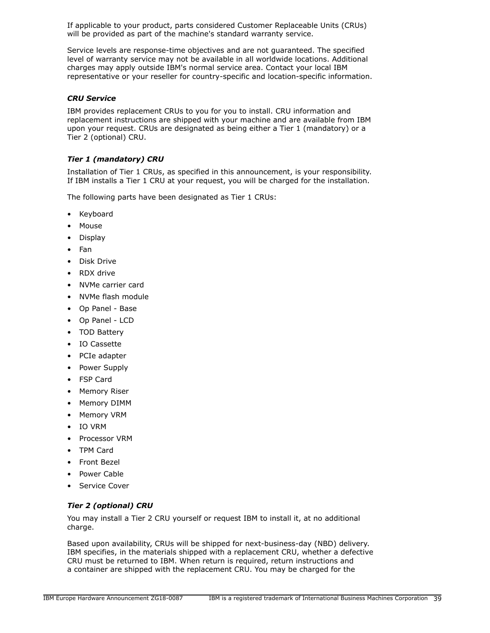If applicable to your product, parts considered Customer Replaceable Units (CRUs) will be provided as part of the machine's standard warranty service.

Service levels are response-time objectives and are not guaranteed. The specified level of warranty service may not be available in all worldwide locations. Additional charges may apply outside IBM's normal service area. Contact your local IBM representative or your reseller for country-specific and location-specific information.

## *CRU Service*

IBM provides replacement CRUs to you for you to install. CRU information and replacement instructions are shipped with your machine and are available from IBM upon your request. CRUs are designated as being either a Tier 1 (mandatory) or a Tier 2 (optional) CRU.

# *Tier 1 (mandatory) CRU*

Installation of Tier 1 CRUs, as specified in this announcement, is your responsibility. If IBM installs a Tier 1 CRU at your request, you will be charged for the installation.

The following parts have been designated as Tier 1 CRUs:

- **Keyboard**
- **Mouse**
- Display
- Fan
- Disk Drive
- RDX drive
- NVMe carrier card
- NVMe flash module
- Op Panel Base
- Op Panel LCD
- TOD Battery
- IO Cassette
- PCIe adapter
- Power Supply
- FSP Card
- Memory Riser
- Memory DIMM
- Memory VRM
- IO VRM
- Processor VRM
- TPM Card
- Front Bezel
- Power Cable
- Service Cover

# *Tier 2 (optional) CRU*

You may install a Tier 2 CRU yourself or request IBM to install it, at no additional charge.

Based upon availability, CRUs will be shipped for next-business-day (NBD) delivery. IBM specifies, in the materials shipped with a replacement CRU, whether a defective CRU must be returned to IBM. When return is required, return instructions and a container are shipped with the replacement CRU. You may be charged for the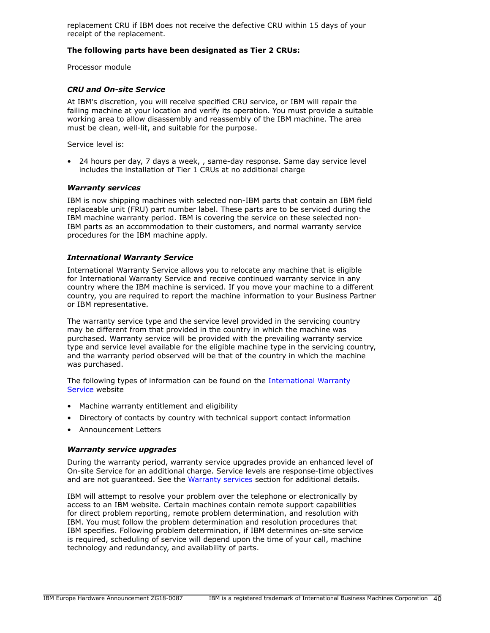replacement CRU if IBM does not receive the defective CRU within 15 days of your receipt of the replacement.

# **The following parts have been designated as Tier 2 CRUs:**

Processor module

#### *CRU and On-site Service*

At IBM's discretion, you will receive specified CRU service, or IBM will repair the failing machine at your location and verify its operation. You must provide a suitable working area to allow disassembly and reassembly of the IBM machine. The area must be clean, well-lit, and suitable for the purpose.

Service level is:

• 24 hours per day, 7 days a week, , same-day response. Same day service level includes the installation of Tier 1 CRUs at no additional charge

#### <span id="page-39-0"></span>*Warranty services*

IBM is now shipping machines with selected non-IBM parts that contain an IBM field replaceable unit (FRU) part number label. These parts are to be serviced during the IBM machine warranty period. IBM is covering the service on these selected non-IBM parts as an accommodation to their customers, and normal warranty service procedures for the IBM machine apply.

#### *International Warranty Service*

International Warranty Service allows you to relocate any machine that is eligible for International Warranty Service and receive continued warranty service in any country where the IBM machine is serviced. If you move your machine to a different country, you are required to report the machine information to your Business Partner or IBM representative.

The warranty service type and the service level provided in the servicing country may be different from that provided in the country in which the machine was purchased. Warranty service will be provided with the prevailing warranty service type and service level available for the eligible machine type in the servicing country, and the warranty period observed will be that of the country in which the machine was purchased.

The following types of information can be found on the [International Warranty](https://www.ibm.com/systems/support/machine_warranties/iws.html) [Service](https://www.ibm.com/systems/support/machine_warranties/iws.html) website

- Machine warranty entitlement and eligibility
- Directory of contacts by country with technical support contact information
- Announcement Letters

#### *Warranty service upgrades*

During the warranty period, warranty service upgrades provide an enhanced level of On-site Service for an additional charge. Service levels are response-time objectives and are not guaranteed. See the [Warranty services](#page-39-0) section for additional details.

IBM will attempt to resolve your problem over the telephone or electronically by access to an IBM website. Certain machines contain remote support capabilities for direct problem reporting, remote problem determination, and resolution with IBM. You must follow the problem determination and resolution procedures that IBM specifies. Following problem determination, if IBM determines on-site service is required, scheduling of service will depend upon the time of your call, machine technology and redundancy, and availability of parts.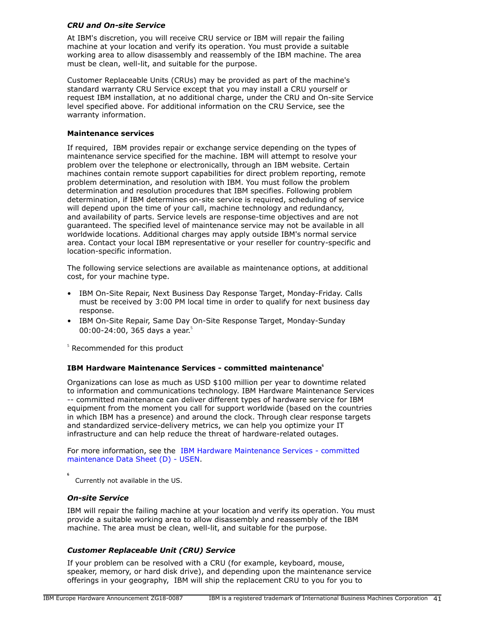# *CRU and On-site Service*

At IBM's discretion, you will receive CRU service or IBM will repair the failing machine at your location and verify its operation. You must provide a suitable working area to allow disassembly and reassembly of the IBM machine. The area must be clean, well-lit, and suitable for the purpose.

Customer Replaceable Units (CRUs) may be provided as part of the machine's standard warranty CRU Service except that you may install a CRU yourself or request IBM installation, at no additional charge, under the CRU and On-site Service level specified above. For additional information on the CRU Service, see the warranty information.

#### **Maintenance services**

If required, IBM provides repair or exchange service depending on the types of maintenance service specified for the machine. IBM will attempt to resolve your problem over the telephone or electronically, through an IBM website. Certain machines contain remote support capabilities for direct problem reporting, remote problem determination, and resolution with IBM. You must follow the problem determination and resolution procedures that IBM specifies. Following problem determination, if IBM determines on-site service is required, scheduling of service will depend upon the time of your call, machine technology and redundancy, and availability of parts. Service levels are response-time objectives and are not guaranteed. The specified level of maintenance service may not be available in all worldwide locations. Additional charges may apply outside IBM's normal service area. Contact your local IBM representative or your reseller for country-specific and location-specific information.

The following service selections are available as maintenance options, at additional cost, for your machine type.

- IBM On-Site Repair, Next Business Day Response Target, Monday-Friday. Calls must be received by 3:00 PM local time in order to qualify for next business day response.
- IBM On-Site Repair, Same Day On-Site Response Target, Monday-Sunday 00:00-24:00, 365 days a year.<sup>5</sup>

 $5$  Recommended for this product

# **IBM Hardware Maintenance Services - committed maintenance<sup>6</sup>**

Organizations can lose as much as USD \$100 million per year to downtime related to information and communications technology. IBM Hardware Maintenance Services -- committed maintenance can deliver different types of hardware service for IBM equipment from the moment you call for support worldwide (based on the countries in which IBM has a presence) and around the clock. Through clear response targets and standardized service-delivery metrics, we can help you optimize your IT infrastructure and can help reduce the threat of hardware-related outages.

For more information, see the [IBM Hardware Maintenance Services - committed](#page-0-0) [maintenance Data Sheet \(D\) - USEN.](#page-0-0)

**6** Currently not available in the US.

#### *On-site Service*

IBM will repair the failing machine at your location and verify its operation. You must provide a suitable working area to allow disassembly and reassembly of the IBM machine. The area must be clean, well-lit, and suitable for the purpose.

# *Customer Replaceable Unit (CRU) Service*

If your problem can be resolved with a CRU (for example, keyboard, mouse, speaker, memory, or hard disk drive), and depending upon the maintenance service offerings in your geography, IBM will ship the replacement CRU to you for you to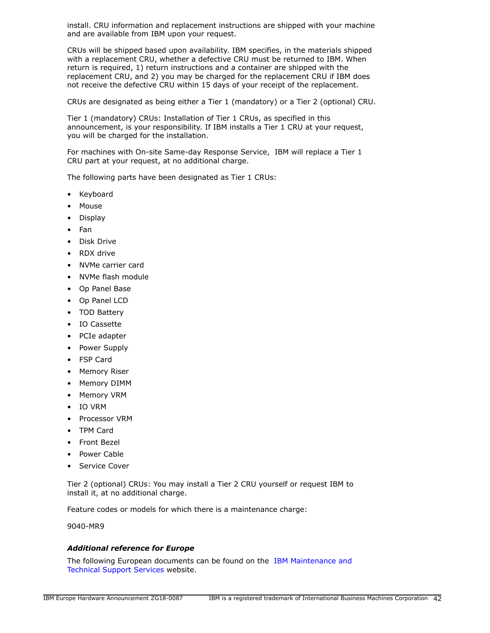install. CRU information and replacement instructions are shipped with your machine and are available from IBM upon your request.

CRUs will be shipped based upon availability. IBM specifies, in the materials shipped with a replacement CRU, whether a defective CRU must be returned to IBM. When return is required, 1) return instructions and a container are shipped with the replacement CRU, and 2) you may be charged for the replacement CRU if IBM does not receive the defective CRU within 15 days of your receipt of the replacement.

CRUs are designated as being either a Tier 1 (mandatory) or a Tier 2 (optional) CRU.

Tier 1 (mandatory) CRUs: Installation of Tier 1 CRUs, as specified in this announcement, is your responsibility. If IBM installs a Tier 1 CRU at your request, you will be charged for the installation.

For machines with On-site Same-day Response Service, IBM will replace a Tier 1 CRU part at your request, at no additional charge.

The following parts have been designated as Tier 1 CRUs:

- Keyboard
- Mouse
- Display
- Fan
- Disk Drive
- RDX drive
- NVMe carrier card
- NVMe flash module
- Op Panel Base
- Op Panel LCD
- TOD Battery
- IO Cassette
- PCIe adapter
- Power Supply
- FSP Card
- Memory Riser
- Memory DIMM
- Memory VRM
- IO VRM
- Processor VRM
- TPM Card
- Front Bezel
- Power Cable
- Service Cover

Tier 2 (optional) CRUs: You may install a Tier 2 CRU yourself or request IBM to install it, at no additional charge.

Feature codes or models for which there is a maintenance charge:

9040-MR9

#### *Additional reference for Europe*

The following European documents can be found on the [IBM Maintenance and](http://www-5.ibm.com/services/europe/maintenance/) [Technical Support Services](http://www-5.ibm.com/services/europe/maintenance/) website.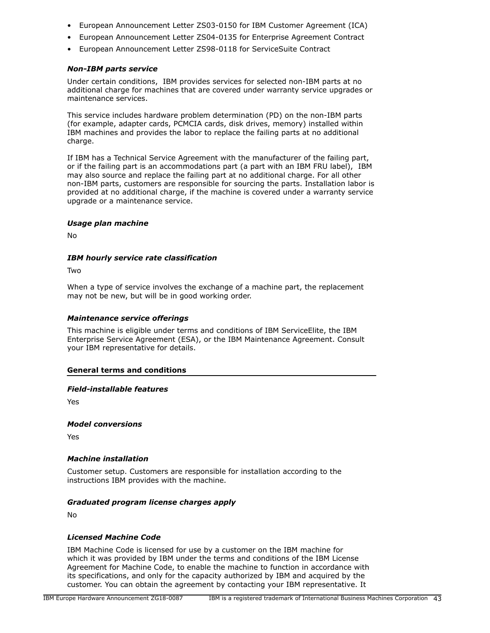- European Announcement Letter ZS03-0150 for IBM Customer Agreement (ICA)
- European Announcement Letter ZS04-0135 for Enterprise Agreement Contract
- European Announcement Letter ZS98-0118 for ServiceSuite Contract

#### *Non-IBM parts service*

Under certain conditions, IBM provides services for selected non-IBM parts at no additional charge for machines that are covered under warranty service upgrades or maintenance services.

This service includes hardware problem determination (PD) on the non-IBM parts (for example, adapter cards, PCMCIA cards, disk drives, memory) installed within IBM machines and provides the labor to replace the failing parts at no additional charge.

If IBM has a Technical Service Agreement with the manufacturer of the failing part, or if the failing part is an accommodations part (a part with an IBM FRU label), IBM may also source and replace the failing part at no additional charge. For all other non-IBM parts, customers are responsible for sourcing the parts. Installation labor is provided at no additional charge, if the machine is covered under a warranty service upgrade or a maintenance service.

#### *Usage plan machine*

No

#### *IBM hourly service rate classification*

Two

When a type of service involves the exchange of a machine part, the replacement may not be new, but will be in good working order.

#### *Maintenance service offerings*

This machine is eligible under terms and conditions of IBM ServiceElite, the IBM Enterprise Service Agreement (ESA), or the IBM Maintenance Agreement. Consult your IBM representative for details.

#### **General terms and conditions**

#### *Field-installable features*

Yes

*Model conversions*

Yes

# *Machine installation*

Customer setup. Customers are responsible for installation according to the instructions IBM provides with the machine.

# *Graduated program license charges apply*

No

# *Licensed Machine Code*

IBM Machine Code is licensed for use by a customer on the IBM machine for which it was provided by IBM under the terms and conditions of the IBM License Agreement for Machine Code, to enable the machine to function in accordance with its specifications, and only for the capacity authorized by IBM and acquired by the customer. You can obtain the agreement by contacting your IBM representative. It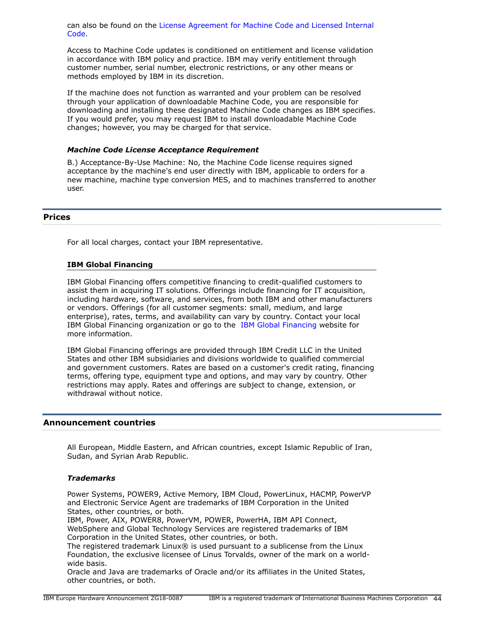can also be found on the [License Agreement for Machine Code and Licensed Internal](http://www.ibm.com/systems/support/machine_warranties/machine_code.html) [Code.](http://www.ibm.com/systems/support/machine_warranties/machine_code.html)

Access to Machine Code updates is conditioned on entitlement and license validation in accordance with IBM policy and practice. IBM may verify entitlement through customer number, serial number, electronic restrictions, or any other means or methods employed by IBM in its discretion.

If the machine does not function as warranted and your problem can be resolved through your application of downloadable Machine Code, you are responsible for downloading and installing these designated Machine Code changes as IBM specifies. If you would prefer, you may request IBM to install downloadable Machine Code changes; however, you may be charged for that service.

## *Machine Code License Acceptance Requirement*

B.) Acceptance-By-Use Machine: No, the Machine Code license requires signed acceptance by the machine's end user directly with IBM, applicable to orders for a new machine, machine type conversion MES, and to machines transferred to another user.

#### <span id="page-43-0"></span>**Prices**

For all local charges, contact your IBM representative.

#### **IBM Global Financing**

IBM Global Financing offers competitive financing to credit-qualified customers to assist them in acquiring IT solutions. Offerings include financing for IT acquisition, including hardware, software, and services, from both IBM and other manufacturers or vendors. Offerings (for all customer segments: small, medium, and large enterprise), rates, terms, and availability can vary by country. Contact your local IBM Global Financing organization or go to the [IBM Global Financing](http://www.ibm.com/financing) website for more information.

IBM Global Financing offerings are provided through IBM Credit LLC in the United States and other IBM subsidiaries and divisions worldwide to qualified commercial and government customers. Rates are based on a customer's credit rating, financing terms, offering type, equipment type and options, and may vary by country. Other restrictions may apply. Rates and offerings are subject to change, extension, or withdrawal without notice.

# <span id="page-43-1"></span>**Announcement countries**

All European, Middle Eastern, and African countries, except Islamic Republic of Iran, Sudan, and Syrian Arab Republic.

#### *Trademarks*

Power Systems, POWER9, Active Memory, IBM Cloud, PowerLinux, HACMP, PowerVP and Electronic Service Agent are trademarks of IBM Corporation in the United States, other countries, or both.

IBM, Power, AIX, POWER8, PowerVM, POWER, PowerHA, IBM API Connect, WebSphere and Global Technology Services are registered trademarks of IBM Corporation in the United States, other countries, or both.

The registered trademark Linux® is used pursuant to a sublicense from the Linux Foundation, the exclusive licensee of Linus Torvalds, owner of the mark on a worldwide basis.

Oracle and Java are trademarks of Oracle and/or its affiliates in the United States, other countries, or both.